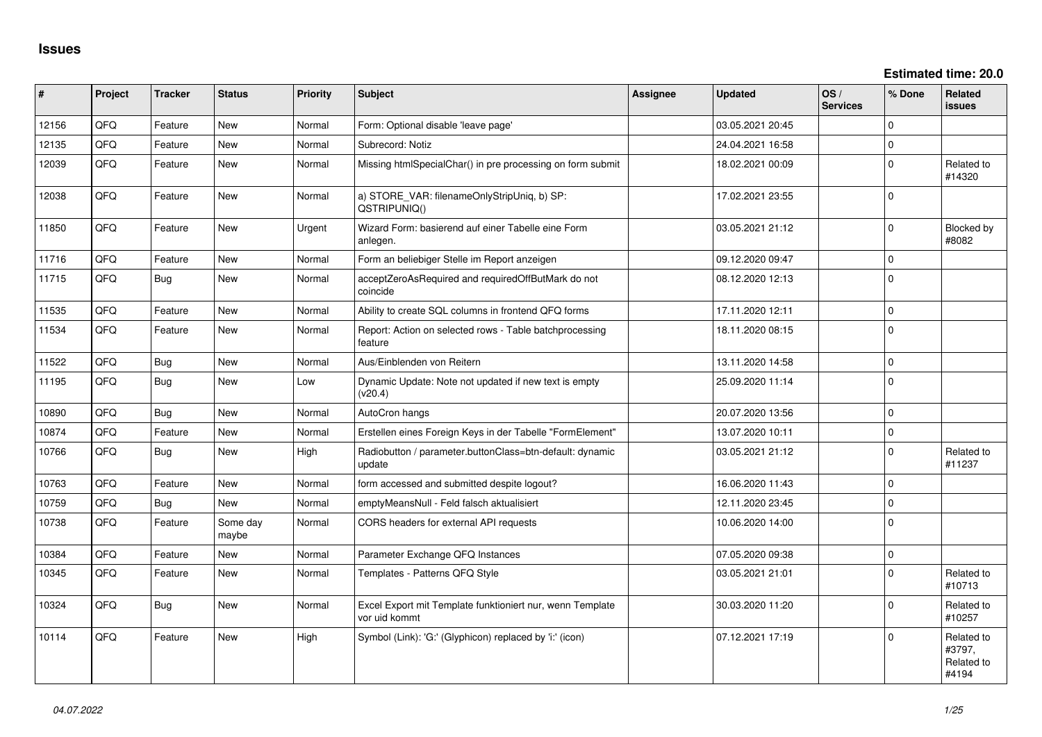**Estimated time: 20.0**

| #     | Project | <b>Tracker</b> | <b>Status</b>     | <b>Priority</b> | <b>Subject</b>                                                             | Assignee | <b>Updated</b>   | OS/<br><b>Services</b> | % Done      | Related<br>issues                           |
|-------|---------|----------------|-------------------|-----------------|----------------------------------------------------------------------------|----------|------------------|------------------------|-------------|---------------------------------------------|
| 12156 | QFQ     | Feature        | New               | Normal          | Form: Optional disable 'leave page'                                        |          | 03.05.2021 20:45 |                        | $\Omega$    |                                             |
| 12135 | QFQ     | Feature        | <b>New</b>        | Normal          | Subrecord: Notiz                                                           |          | 24.04.2021 16:58 |                        | $\mathbf 0$ |                                             |
| 12039 | QFQ     | Feature        | New               | Normal          | Missing htmlSpecialChar() in pre processing on form submit                 |          | 18.02.2021 00:09 |                        | $\Omega$    | Related to<br>#14320                        |
| 12038 | QFQ     | Feature        | New               | Normal          | a) STORE_VAR: filenameOnlyStripUniq, b) SP:<br>QSTRIPUNIQ()                |          | 17.02.2021 23:55 |                        | $\Omega$    |                                             |
| 11850 | QFQ     | Feature        | New               | Urgent          | Wizard Form: basierend auf einer Tabelle eine Form<br>anlegen.             |          | 03.05.2021 21:12 |                        | $\Omega$    | Blocked by<br>#8082                         |
| 11716 | QFQ     | Feature        | New               | Normal          | Form an beliebiger Stelle im Report anzeigen                               |          | 09.12.2020 09:47 |                        | $\Omega$    |                                             |
| 11715 | QFQ     | Bug            | New               | Normal          | acceptZeroAsRequired and requiredOffButMark do not<br>coincide             |          | 08.12.2020 12:13 |                        | 0           |                                             |
| 11535 | QFQ     | Feature        | <b>New</b>        | Normal          | Ability to create SQL columns in frontend QFQ forms                        |          | 17.11.2020 12:11 |                        | $\mathbf 0$ |                                             |
| 11534 | QFQ     | Feature        | New               | Normal          | Report: Action on selected rows - Table batchprocessing<br>feature         |          | 18.11.2020 08:15 |                        | $\Omega$    |                                             |
| 11522 | QFQ     | Bug            | New               | Normal          | Aus/Einblenden von Reitern                                                 |          | 13.11.2020 14:58 |                        | $\mathbf 0$ |                                             |
| 11195 | QFQ     | Bug            | <b>New</b>        | Low             | Dynamic Update: Note not updated if new text is empty<br>(v20.4)           |          | 25.09.2020 11:14 |                        | $\Omega$    |                                             |
| 10890 | QFQ     | Bug            | <b>New</b>        | Normal          | AutoCron hangs                                                             |          | 20.07.2020 13:56 |                        | $\Omega$    |                                             |
| 10874 | QFQ     | Feature        | New               | Normal          | Erstellen eines Foreign Keys in der Tabelle "FormElement"                  |          | 13.07.2020 10:11 |                        | $\Omega$    |                                             |
| 10766 | QFQ     | Bug            | <b>New</b>        | High            | Radiobutton / parameter.buttonClass=btn-default: dynamic<br>update         |          | 03.05.2021 21:12 |                        | l O         | Related to<br>#11237                        |
| 10763 | QFQ     | Feature        | New               | Normal          | form accessed and submitted despite logout?                                |          | 16.06.2020 11:43 |                        | 0 I         |                                             |
| 10759 | QFQ     | Bug            | <b>New</b>        | Normal          | emptyMeansNull - Feld falsch aktualisiert                                  |          | 12.11.2020 23:45 |                        | $\Omega$    |                                             |
| 10738 | QFQ     | Feature        | Some day<br>maybe | Normal          | CORS headers for external API requests                                     |          | 10.06.2020 14:00 |                        | $\Omega$    |                                             |
| 10384 | QFQ     | Feature        | New               | Normal          | Parameter Exchange QFQ Instances                                           |          | 07.05.2020 09:38 |                        | $\Omega$    |                                             |
| 10345 | QFQ     | Feature        | New               | Normal          | Templates - Patterns QFQ Style                                             |          | 03.05.2021 21:01 |                        | $\Omega$    | Related to<br>#10713                        |
| 10324 | QFQ     | Bug            | New               | Normal          | Excel Export mit Template funktioniert nur, wenn Template<br>vor uid kommt |          | 30.03.2020 11:20 |                        | $\Omega$    | Related to<br>#10257                        |
| 10114 | QFQ     | Feature        | New               | High            | Symbol (Link): 'G:' (Glyphicon) replaced by 'i:' (icon)                    |          | 07.12.2021 17:19 |                        | $\Omega$    | Related to<br>#3797,<br>Related to<br>#4194 |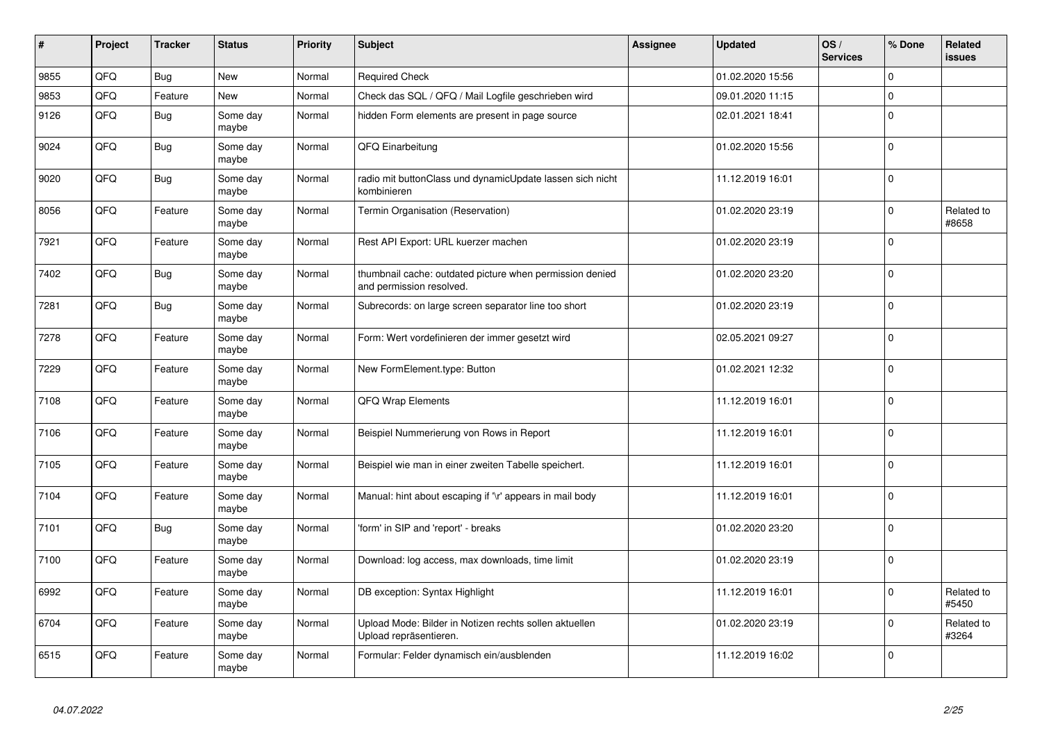| #    | Project | <b>Tracker</b> | <b>Status</b>     | <b>Priority</b> | <b>Subject</b>                                                                       | <b>Assignee</b> | <b>Updated</b>   | OS/<br><b>Services</b> | % Done      | Related<br>issues   |
|------|---------|----------------|-------------------|-----------------|--------------------------------------------------------------------------------------|-----------------|------------------|------------------------|-------------|---------------------|
| 9855 | QFQ     | <b>Bug</b>     | <b>New</b>        | Normal          | <b>Required Check</b>                                                                |                 | 01.02.2020 15:56 |                        | $\Omega$    |                     |
| 9853 | QFQ     | Feature        | <b>New</b>        | Normal          | Check das SQL / QFQ / Mail Logfile geschrieben wird                                  |                 | 09.01.2020 11:15 |                        | $\Omega$    |                     |
| 9126 | QFQ     | Bug            | Some day<br>maybe | Normal          | hidden Form elements are present in page source                                      |                 | 02.01.2021 18:41 |                        | $\Omega$    |                     |
| 9024 | QFQ     | Bug            | Some day<br>maybe | Normal          | QFQ Einarbeitung                                                                     |                 | 01.02.2020 15:56 |                        | $\Omega$    |                     |
| 9020 | QFQ     | <b>Bug</b>     | Some day<br>maybe | Normal          | radio mit buttonClass und dynamicUpdate lassen sich nicht<br>kombinieren             |                 | 11.12.2019 16:01 |                        | $\Omega$    |                     |
| 8056 | QFQ     | Feature        | Some day<br>maybe | Normal          | Termin Organisation (Reservation)                                                    |                 | 01.02.2020 23:19 |                        | $\mathbf 0$ | Related to<br>#8658 |
| 7921 | QFQ     | Feature        | Some day<br>maybe | Normal          | Rest API Export: URL kuerzer machen                                                  |                 | 01.02.2020 23:19 |                        | $\Omega$    |                     |
| 7402 | QFQ     | <b>Bug</b>     | Some day<br>maybe | Normal          | thumbnail cache: outdated picture when permission denied<br>and permission resolved. |                 | 01.02.2020 23:20 |                        | $\Omega$    |                     |
| 7281 | QFQ     | Bug            | Some day<br>maybe | Normal          | Subrecords: on large screen separator line too short                                 |                 | 01.02.2020 23:19 |                        | $\mathbf 0$ |                     |
| 7278 | QFQ     | Feature        | Some day<br>maybe | Normal          | Form: Wert vordefinieren der immer gesetzt wird                                      |                 | 02.05.2021 09:27 |                        | $\Omega$    |                     |
| 7229 | QFQ     | Feature        | Some day<br>maybe | Normal          | New FormElement.type: Button                                                         |                 | 01.02.2021 12:32 |                        | $\Omega$    |                     |
| 7108 | QFQ     | Feature        | Some day<br>maybe | Normal          | QFQ Wrap Elements                                                                    |                 | 11.12.2019 16:01 |                        | $\Omega$    |                     |
| 7106 | QFQ     | Feature        | Some day<br>maybe | Normal          | Beispiel Nummerierung von Rows in Report                                             |                 | 11.12.2019 16:01 |                        | $\Omega$    |                     |
| 7105 | QFQ     | Feature        | Some day<br>maybe | Normal          | Beispiel wie man in einer zweiten Tabelle speichert.                                 |                 | 11.12.2019 16:01 |                        | $\mathbf 0$ |                     |
| 7104 | QFQ     | Feature        | Some day<br>maybe | Normal          | Manual: hint about escaping if '\r' appears in mail body                             |                 | 11.12.2019 16:01 |                        | $\mathbf 0$ |                     |
| 7101 | QFQ     | Bug            | Some day<br>maybe | Normal          | 'form' in SIP and 'report' - breaks                                                  |                 | 01.02.2020 23:20 |                        | $\Omega$    |                     |
| 7100 | QFQ     | Feature        | Some day<br>maybe | Normal          | Download: log access, max downloads, time limit                                      |                 | 01.02.2020 23:19 |                        | $\Omega$    |                     |
| 6992 | QFQ     | Feature        | Some day<br>maybe | Normal          | DB exception: Syntax Highlight                                                       |                 | 11.12.2019 16:01 |                        | $\Omega$    | Related to<br>#5450 |
| 6704 | QFQ     | Feature        | Some day<br>maybe | Normal          | Upload Mode: Bilder in Notizen rechts sollen aktuellen<br>Upload repräsentieren.     |                 | 01.02.2020 23:19 |                        | $\Omega$    | Related to<br>#3264 |
| 6515 | QFQ     | Feature        | Some day<br>maybe | Normal          | Formular: Felder dynamisch ein/ausblenden                                            |                 | 11.12.2019 16:02 |                        | $\Omega$    |                     |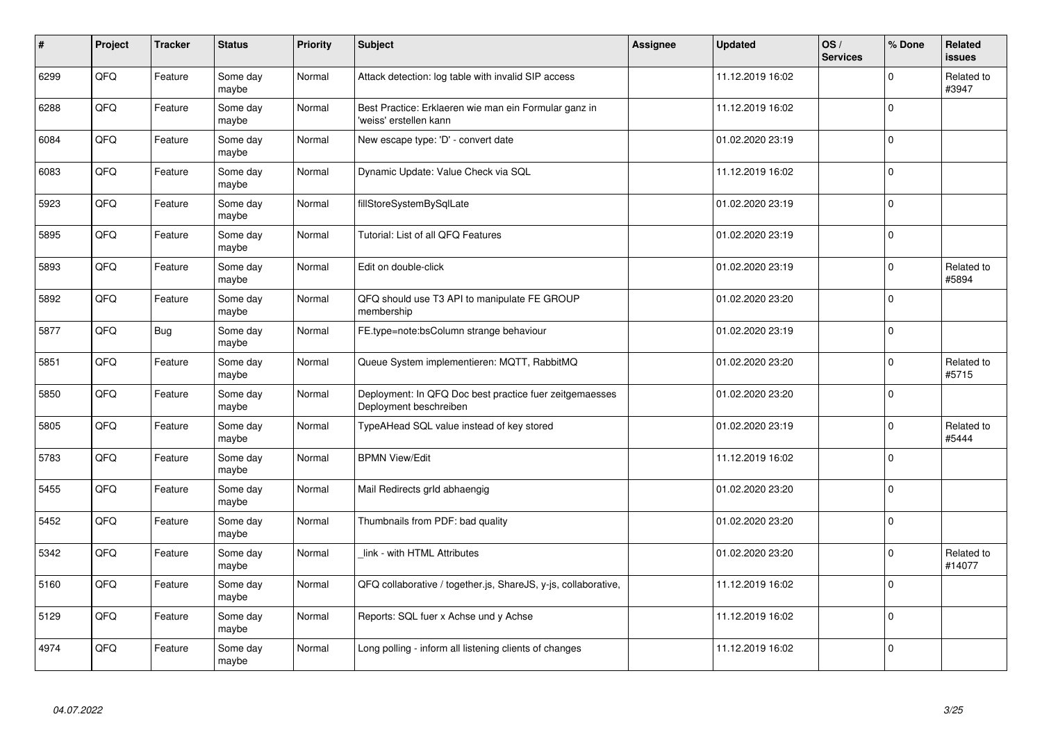| #    | Project | <b>Tracker</b> | <b>Status</b>     | <b>Priority</b> | <b>Subject</b>                                                                    | <b>Assignee</b> | <b>Updated</b>   | OS/<br><b>Services</b> | % Done      | Related<br><b>issues</b> |
|------|---------|----------------|-------------------|-----------------|-----------------------------------------------------------------------------------|-----------------|------------------|------------------------|-------------|--------------------------|
| 6299 | QFQ     | Feature        | Some day<br>maybe | Normal          | Attack detection: log table with invalid SIP access                               |                 | 11.12.2019 16:02 |                        | $\Omega$    | Related to<br>#3947      |
| 6288 | QFQ     | Feature        | Some day<br>maybe | Normal          | Best Practice: Erklaeren wie man ein Formular ganz in<br>'weiss' erstellen kann   |                 | 11.12.2019 16:02 |                        | $\Omega$    |                          |
| 6084 | QFQ     | Feature        | Some day<br>maybe | Normal          | New escape type: 'D' - convert date                                               |                 | 01.02.2020 23:19 |                        | $\Omega$    |                          |
| 6083 | QFQ     | Feature        | Some day<br>maybe | Normal          | Dynamic Update: Value Check via SQL                                               |                 | 11.12.2019 16:02 |                        | $\Omega$    |                          |
| 5923 | QFQ     | Feature        | Some day<br>maybe | Normal          | fillStoreSystemBySqlLate                                                          |                 | 01.02.2020 23:19 |                        | $\Omega$    |                          |
| 5895 | QFQ     | Feature        | Some day<br>maybe | Normal          | Tutorial: List of all QFQ Features                                                |                 | 01.02.2020 23:19 |                        | $\Omega$    |                          |
| 5893 | QFQ     | Feature        | Some day<br>maybe | Normal          | Edit on double-click                                                              |                 | 01.02.2020 23:19 |                        | $\Omega$    | Related to<br>#5894      |
| 5892 | QFQ     | Feature        | Some day<br>maybe | Normal          | QFQ should use T3 API to manipulate FE GROUP<br>membership                        |                 | 01.02.2020 23:20 |                        | $\Omega$    |                          |
| 5877 | QFQ     | Bug            | Some day<br>maybe | Normal          | FE.type=note:bsColumn strange behaviour                                           |                 | 01.02.2020 23:19 |                        | $\Omega$    |                          |
| 5851 | QFQ     | Feature        | Some day<br>maybe | Normal          | Queue System implementieren: MQTT, RabbitMQ                                       |                 | 01.02.2020 23:20 |                        | $\Omega$    | Related to<br>#5715      |
| 5850 | QFQ     | Feature        | Some day<br>maybe | Normal          | Deployment: In QFQ Doc best practice fuer zeitgemaesses<br>Deployment beschreiben |                 | 01.02.2020 23:20 |                        | $\mathbf 0$ |                          |
| 5805 | QFQ     | Feature        | Some day<br>maybe | Normal          | TypeAHead SQL value instead of key stored                                         |                 | 01.02.2020 23:19 |                        | $\Omega$    | Related to<br>#5444      |
| 5783 | QFQ     | Feature        | Some day<br>maybe | Normal          | <b>BPMN View/Edit</b>                                                             |                 | 11.12.2019 16:02 |                        | $\Omega$    |                          |
| 5455 | QFQ     | Feature        | Some day<br>maybe | Normal          | Mail Redirects grld abhaengig                                                     |                 | 01.02.2020 23:20 |                        | $\Omega$    |                          |
| 5452 | QFQ     | Feature        | Some day<br>maybe | Normal          | Thumbnails from PDF: bad quality                                                  |                 | 01.02.2020 23:20 |                        | $\Omega$    |                          |
| 5342 | QFQ     | Feature        | Some day<br>maybe | Normal          | link - with HTML Attributes                                                       |                 | 01.02.2020 23:20 |                        | $\Omega$    | Related to<br>#14077     |
| 5160 | QFQ     | Feature        | Some day<br>maybe | Normal          | QFQ collaborative / together.js, ShareJS, y-js, collaborative,                    |                 | 11.12.2019 16:02 |                        | $\Omega$    |                          |
| 5129 | QFQ     | Feature        | Some day<br>maybe | Normal          | Reports: SQL fuer x Achse und y Achse                                             |                 | 11.12.2019 16:02 |                        | $\Omega$    |                          |
| 4974 | QFQ     | Feature        | Some day<br>maybe | Normal          | Long polling - inform all listening clients of changes                            |                 | 11.12.2019 16:02 |                        | $\Omega$    |                          |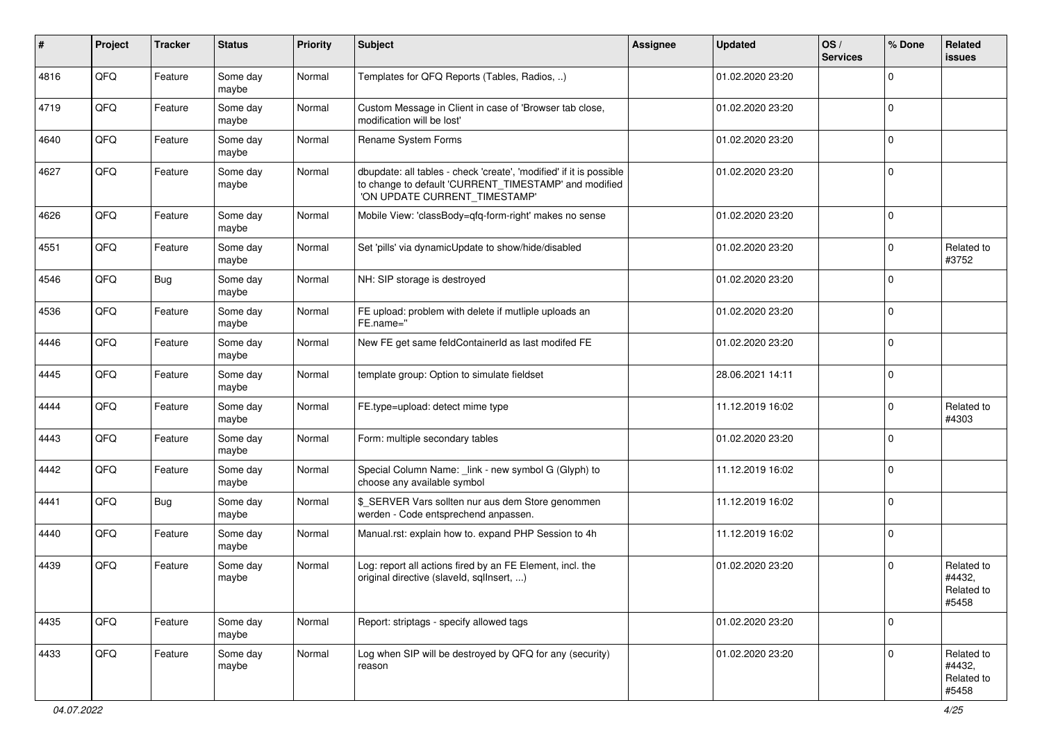| ∦    | Project | <b>Tracker</b> | <b>Status</b>     | <b>Priority</b> | <b>Subject</b>                                                                                                                                                | <b>Assignee</b> | <b>Updated</b>   | OS/<br><b>Services</b> | % Done      | Related<br>issues                           |
|------|---------|----------------|-------------------|-----------------|---------------------------------------------------------------------------------------------------------------------------------------------------------------|-----------------|------------------|------------------------|-------------|---------------------------------------------|
| 4816 | QFQ     | Feature        | Some day<br>maybe | Normal          | Templates for QFQ Reports (Tables, Radios, )                                                                                                                  |                 | 01.02.2020 23:20 |                        | $\Omega$    |                                             |
| 4719 | QFQ     | Feature        | Some day<br>maybe | Normal          | Custom Message in Client in case of 'Browser tab close,<br>modification will be lost'                                                                         |                 | 01.02.2020 23:20 |                        | $\mathbf 0$ |                                             |
| 4640 | QFQ     | Feature        | Some day<br>maybe | Normal          | Rename System Forms                                                                                                                                           |                 | 01.02.2020 23:20 |                        | 0           |                                             |
| 4627 | QFQ     | Feature        | Some day<br>maybe | Normal          | dbupdate: all tables - check 'create', 'modified' if it is possible<br>to change to default 'CURRENT_TIMESTAMP' and modified<br>'ON UPDATE CURRENT_TIMESTAMP' |                 | 01.02.2020 23:20 |                        | $\mathbf 0$ |                                             |
| 4626 | QFQ     | Feature        | Some day<br>maybe | Normal          | Mobile View: 'classBody=qfq-form-right' makes no sense                                                                                                        |                 | 01.02.2020 23:20 |                        | $\mathbf 0$ |                                             |
| 4551 | QFQ     | Feature        | Some day<br>maybe | Normal          | Set 'pills' via dynamicUpdate to show/hide/disabled                                                                                                           |                 | 01.02.2020 23:20 |                        | 0           | Related to<br>#3752                         |
| 4546 | QFQ     | <b>Bug</b>     | Some day<br>maybe | Normal          | NH: SIP storage is destroyed                                                                                                                                  |                 | 01.02.2020 23:20 |                        | $\Omega$    |                                             |
| 4536 | QFQ     | Feature        | Some day<br>maybe | Normal          | FE upload: problem with delete if mutliple uploads an<br>FE.name="                                                                                            |                 | 01.02.2020 23:20 |                        | $\Omega$    |                                             |
| 4446 | QFQ     | Feature        | Some day<br>maybe | Normal          | New FE get same feldContainerId as last modifed FE                                                                                                            |                 | 01.02.2020 23:20 |                        | $\mathbf 0$ |                                             |
| 4445 | QFQ     | Feature        | Some day<br>maybe | Normal          | template group: Option to simulate fieldset                                                                                                                   |                 | 28.06.2021 14:11 |                        | $\mathbf 0$ |                                             |
| 4444 | QFQ     | Feature        | Some day<br>maybe | Normal          | FE.type=upload: detect mime type                                                                                                                              |                 | 11.12.2019 16:02 |                        | $\Omega$    | Related to<br>#4303                         |
| 4443 | QFQ     | Feature        | Some day<br>maybe | Normal          | Form: multiple secondary tables                                                                                                                               |                 | 01.02.2020 23:20 |                        | $\Omega$    |                                             |
| 4442 | QFQ     | Feature        | Some day<br>maybe | Normal          | Special Column Name: _link - new symbol G (Glyph) to<br>choose any available symbol                                                                           |                 | 11.12.2019 16:02 |                        | $\Omega$    |                                             |
| 4441 | QFQ     | Bug            | Some day<br>maybe | Normal          | \$_SERVER Vars sollten nur aus dem Store genommen<br>werden - Code entsprechend anpassen.                                                                     |                 | 11.12.2019 16:02 |                        | $\Omega$    |                                             |
| 4440 | QFQ     | Feature        | Some day<br>maybe | Normal          | Manual.rst: explain how to. expand PHP Session to 4h                                                                                                          |                 | 11.12.2019 16:02 |                        | 0           |                                             |
| 4439 | QFQ     | Feature        | Some day<br>maybe | Normal          | Log: report all actions fired by an FE Element, incl. the<br>original directive (slaveld, sqllnsert, )                                                        |                 | 01.02.2020 23:20 |                        | $\mathbf 0$ | Related to<br>#4432,<br>Related to<br>#5458 |
| 4435 | QFQ     | Feature        | Some day<br>maybe | Normal          | Report: striptags - specify allowed tags                                                                                                                      |                 | 01.02.2020 23:20 |                        | $\mathbf 0$ |                                             |
| 4433 | QFQ     | Feature        | Some day<br>maybe | Normal          | Log when SIP will be destroyed by QFQ for any (security)<br>reason                                                                                            |                 | 01.02.2020 23:20 |                        | $\Omega$    | Related to<br>#4432,<br>Related to<br>#5458 |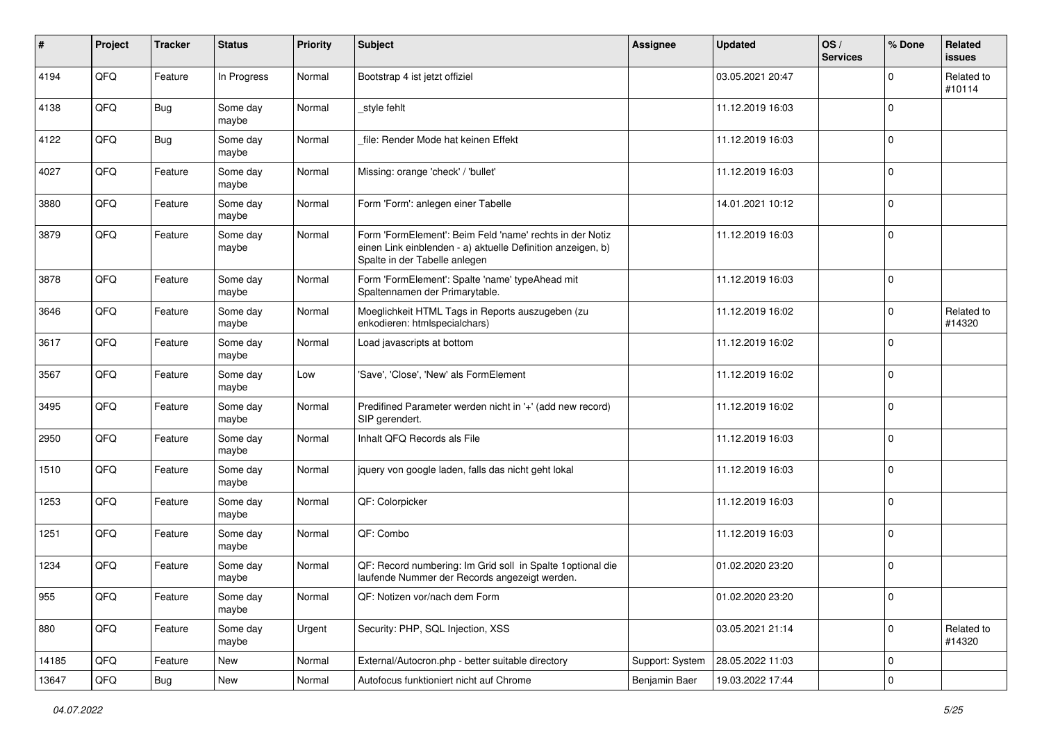| $\sharp$ | Project | <b>Tracker</b> | <b>Status</b>     | <b>Priority</b> | <b>Subject</b>                                                                                                                                           | <b>Assignee</b> | <b>Updated</b>   | OS/<br><b>Services</b> | % Done      | Related<br>issues    |
|----------|---------|----------------|-------------------|-----------------|----------------------------------------------------------------------------------------------------------------------------------------------------------|-----------------|------------------|------------------------|-------------|----------------------|
| 4194     | QFQ     | Feature        | In Progress       | Normal          | Bootstrap 4 ist jetzt offiziel                                                                                                                           |                 | 03.05.2021 20:47 |                        | $\Omega$    | Related to<br>#10114 |
| 4138     | QFQ     | <b>Bug</b>     | Some day<br>maybe | Normal          | _style fehlt                                                                                                                                             |                 | 11.12.2019 16:03 |                        | $\mathbf 0$ |                      |
| 4122     | QFQ     | <b>Bug</b>     | Some day<br>maybe | Normal          | file: Render Mode hat keinen Effekt                                                                                                                      |                 | 11.12.2019 16:03 |                        | 0           |                      |
| 4027     | QFQ     | Feature        | Some day<br>maybe | Normal          | Missing: orange 'check' / 'bullet'                                                                                                                       |                 | 11.12.2019 16:03 |                        | $\mathbf 0$ |                      |
| 3880     | QFQ     | Feature        | Some day<br>maybe | Normal          | Form 'Form': anlegen einer Tabelle                                                                                                                       |                 | 14.01.2021 10:12 |                        | $\mathbf 0$ |                      |
| 3879     | QFQ     | Feature        | Some day<br>maybe | Normal          | Form 'FormElement': Beim Feld 'name' rechts in der Notiz<br>einen Link einblenden - a) aktuelle Definition anzeigen, b)<br>Spalte in der Tabelle anlegen |                 | 11.12.2019 16:03 |                        | $\mathbf 0$ |                      |
| 3878     | QFQ     | Feature        | Some day<br>maybe | Normal          | Form 'FormElement': Spalte 'name' typeAhead mit<br>Spaltennamen der Primarytable.                                                                        |                 | 11.12.2019 16:03 |                        | $\Omega$    |                      |
| 3646     | QFQ     | Feature        | Some day<br>maybe | Normal          | Moeglichkeit HTML Tags in Reports auszugeben (zu<br>enkodieren: htmlspecialchars)                                                                        |                 | 11.12.2019 16:02 |                        | $\mathbf 0$ | Related to<br>#14320 |
| 3617     | QFQ     | Feature        | Some day<br>maybe | Normal          | Load javascripts at bottom                                                                                                                               |                 | 11.12.2019 16:02 |                        | $\mathbf 0$ |                      |
| 3567     | QFQ     | Feature        | Some day<br>maybe | Low             | 'Save', 'Close', 'New' als FormElement                                                                                                                   |                 | 11.12.2019 16:02 |                        | $\mathbf 0$ |                      |
| 3495     | QFQ     | Feature        | Some day<br>maybe | Normal          | Predifined Parameter werden nicht in '+' (add new record)<br>SIP gerendert.                                                                              |                 | 11.12.2019 16:02 |                        | $\Omega$    |                      |
| 2950     | QFQ     | Feature        | Some day<br>maybe | Normal          | Inhalt QFQ Records als File                                                                                                                              |                 | 11.12.2019 16:03 |                        | $\Omega$    |                      |
| 1510     | QFQ     | Feature        | Some day<br>maybe | Normal          | jquery von google laden, falls das nicht geht lokal                                                                                                      |                 | 11.12.2019 16:03 |                        | $\Omega$    |                      |
| 1253     | QFQ     | Feature        | Some day<br>maybe | Normal          | QF: Colorpicker                                                                                                                                          |                 | 11.12.2019 16:03 |                        | $\Omega$    |                      |
| 1251     | QFQ     | Feature        | Some day<br>maybe | Normal          | QF: Combo                                                                                                                                                |                 | 11.12.2019 16:03 |                        | 0           |                      |
| 1234     | QFQ     | Feature        | Some day<br>maybe | Normal          | QF: Record numbering: Im Grid soll in Spalte 1 optional die<br>laufende Nummer der Records angezeigt werden.                                             |                 | 01.02.2020 23:20 |                        | $\mathbf 0$ |                      |
| 955      | QFQ     | Feature        | Some day<br>maybe | Normal          | QF: Notizen vor/nach dem Form                                                                                                                            |                 | 01.02.2020 23:20 |                        | l 0         |                      |
| 880      | QFQ     | Feature        | Some day<br>maybe | Urgent          | Security: PHP, SQL Injection, XSS                                                                                                                        |                 | 03.05.2021 21:14 |                        | $\Omega$    | Related to<br>#14320 |
| 14185    | QFQ     | Feature        | New               | Normal          | External/Autocron.php - better suitable directory                                                                                                        | Support: System | 28.05.2022 11:03 |                        | 0           |                      |
| 13647    | QFQ     | Bug            | New               | Normal          | Autofocus funktioniert nicht auf Chrome                                                                                                                  | Benjamin Baer   | 19.03.2022 17:44 |                        | 0           |                      |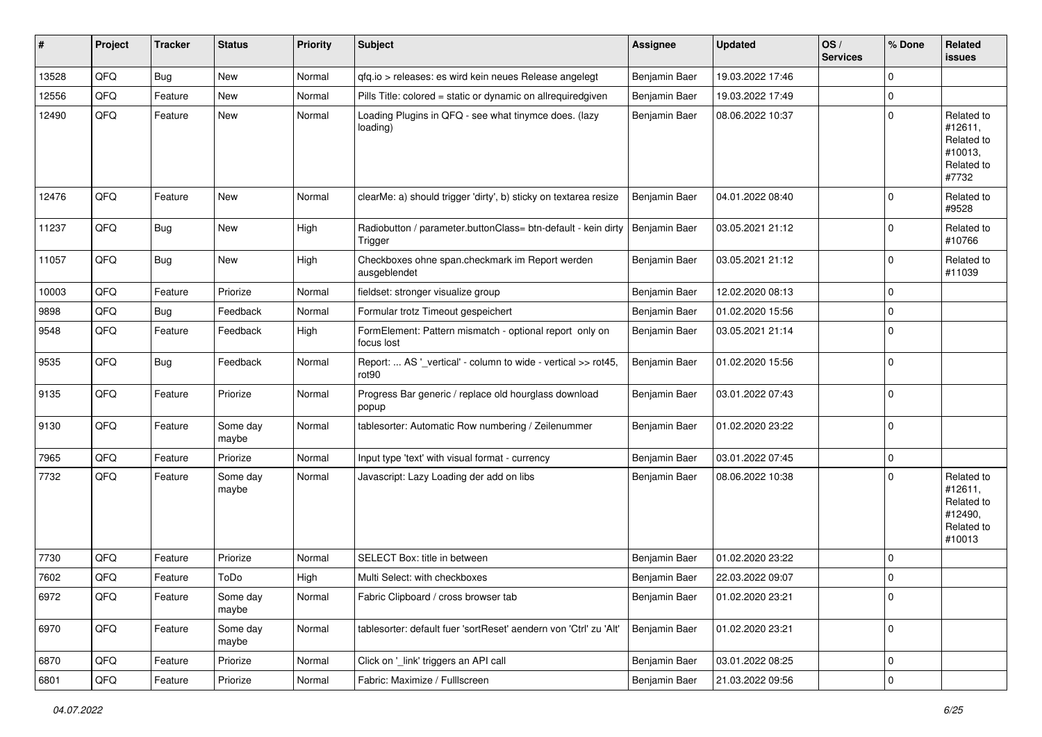| #     | Project | <b>Tracker</b> | <b>Status</b>     | <b>Priority</b> | <b>Subject</b>                                                                     | <b>Assignee</b> | <b>Updated</b>   | OS/<br><b>Services</b> | % Done              | Related<br>issues                                                      |
|-------|---------|----------------|-------------------|-----------------|------------------------------------------------------------------------------------|-----------------|------------------|------------------------|---------------------|------------------------------------------------------------------------|
| 13528 | QFQ     | Bug            | New               | Normal          | qfq.io > releases: es wird kein neues Release angelegt                             | Benjamin Baer   | 19.03.2022 17:46 |                        | 0                   |                                                                        |
| 12556 | QFQ     | Feature        | New               | Normal          | Pills Title: colored = static or dynamic on allrequiredgiven                       | Benjamin Baer   | 19.03.2022 17:49 |                        | 0                   |                                                                        |
| 12490 | QFQ     | Feature        | New               | Normal          | Loading Plugins in QFQ - see what tinymce does. (lazy<br>loading)                  | Benjamin Baer   | 08.06.2022 10:37 |                        | $\mathbf 0$         | Related to<br>#12611,<br>Related to<br>#10013,<br>Related to<br>#7732  |
| 12476 | QFQ     | Feature        | New               | Normal          | clearMe: a) should trigger 'dirty', b) sticky on textarea resize                   | Benjamin Baer   | 04.01.2022 08:40 |                        | $\Omega$            | Related to<br>#9528                                                    |
| 11237 | QFQ     | Bug            | New               | High            | Radiobutton / parameter.buttonClass= btn-default - kein dirty<br>Trigger           | Benjamin Baer   | 03.05.2021 21:12 |                        | 0                   | Related to<br>#10766                                                   |
| 11057 | QFQ     | Bug            | New               | High            | Checkboxes ohne span.checkmark im Report werden<br>ausgeblendet                    | Benjamin Baer   | 03.05.2021 21:12 |                        | 0                   | Related to<br>#11039                                                   |
| 10003 | QFQ     | Feature        | Priorize          | Normal          | fieldset: stronger visualize group                                                 | Benjamin Baer   | 12.02.2020 08:13 |                        | $\mathbf 0$         |                                                                        |
| 9898  | QFQ     | Bug            | Feedback          | Normal          | Formular trotz Timeout gespeichert                                                 | Benjamin Baer   | 01.02.2020 15:56 |                        | 0                   |                                                                        |
| 9548  | QFQ     | Feature        | Feedback          | High            | FormElement: Pattern mismatch - optional report only on<br>focus lost              | Benjamin Baer   | 03.05.2021 21:14 |                        | $\mathbf 0$         |                                                                        |
| 9535  | QFQ     | <b>Bug</b>     | Feedback          | Normal          | Report:  AS '_vertical' - column to wide - vertical >> rot45,<br>rot <sub>90</sub> | Benjamin Baer   | 01.02.2020 15:56 |                        | 0                   |                                                                        |
| 9135  | QFQ     | Feature        | Priorize          | Normal          | Progress Bar generic / replace old hourglass download<br>popup                     | Benjamin Baer   | 03.01.2022 07:43 |                        | $\mathbf 0$         |                                                                        |
| 9130  | QFQ     | Feature        | Some day<br>maybe | Normal          | tablesorter: Automatic Row numbering / Zeilenummer                                 | Benjamin Baer   | 01.02.2020 23:22 |                        | $\Omega$            |                                                                        |
| 7965  | QFQ     | Feature        | Priorize          | Normal          | Input type 'text' with visual format - currency                                    | Benjamin Baer   | 03.01.2022 07:45 |                        | 0                   |                                                                        |
| 7732  | QFQ     | Feature        | Some day<br>maybe | Normal          | Javascript: Lazy Loading der add on libs                                           | Benjamin Baer   | 08.06.2022 10:38 |                        | 0                   | Related to<br>#12611,<br>Related to<br>#12490,<br>Related to<br>#10013 |
| 7730  | QFQ     | Feature        | Priorize          | Normal          | SELECT Box: title in between                                                       | Benjamin Baer   | 01.02.2020 23:22 |                        | 0                   |                                                                        |
| 7602  | QFQ     | Feature        | ToDo              | High            | Multi Select: with checkboxes                                                      | Benjamin Baer   | 22.03.2022 09:07 |                        | $\Omega$            |                                                                        |
| 6972  | QFG     | Feature        | Some day<br>maybe | Normal          | Fabric Clipboard / cross browser tab                                               | Benjamin Baer   | 01.02.2020 23:21 |                        | 0                   |                                                                        |
| 6970  | QFQ     | Feature        | Some day<br>maybe | Normal          | tablesorter: default fuer 'sortReset' aendern von 'Ctrl' zu 'Alt'                  | Benjamin Baer   | 01.02.2020 23:21 |                        | $\mathbf 0$         |                                                                        |
| 6870  | QFQ     | Feature        | Priorize          | Normal          | Click on '_link' triggers an API call                                              | Benjamin Baer   | 03.01.2022 08:25 |                        | 0                   |                                                                        |
| 6801  | QFQ     | Feature        | Priorize          | Normal          | Fabric: Maximize / FullIscreen                                                     | Benjamin Baer   | 21.03.2022 09:56 |                        | $\mathsf{O}\xspace$ |                                                                        |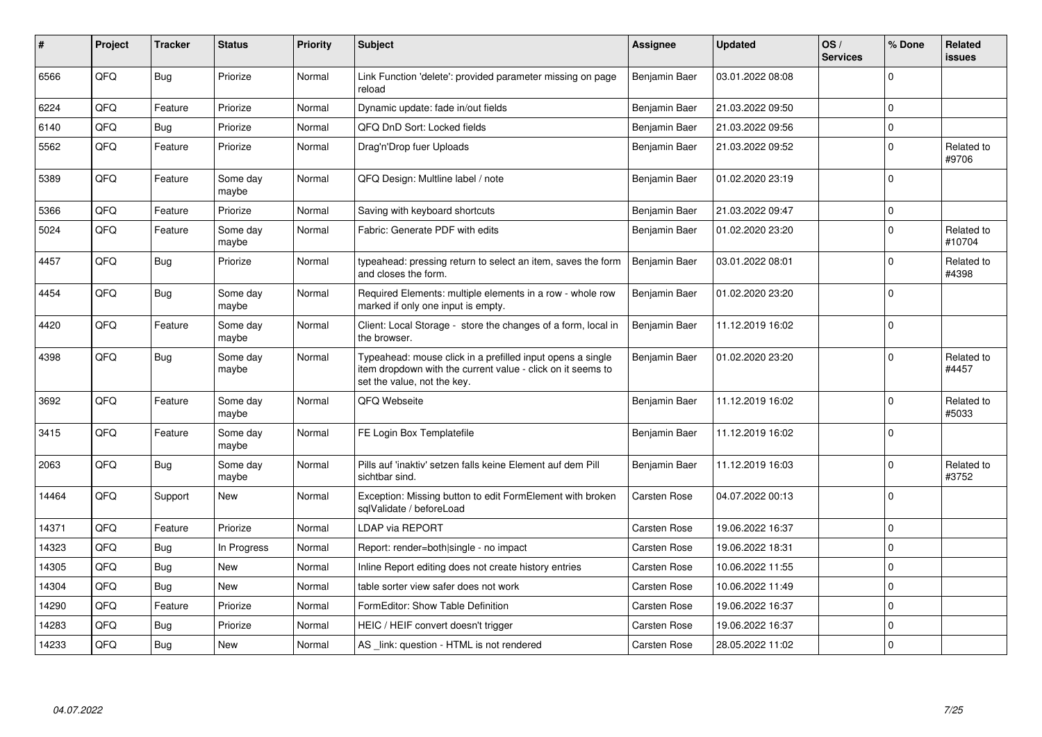| ∦     | Project | <b>Tracker</b> | <b>Status</b>     | <b>Priority</b> | <b>Subject</b>                                                                                                                                           | <b>Assignee</b>     | <b>Updated</b>   | OS/<br><b>Services</b> | % Done         | Related<br><b>issues</b> |
|-------|---------|----------------|-------------------|-----------------|----------------------------------------------------------------------------------------------------------------------------------------------------------|---------------------|------------------|------------------------|----------------|--------------------------|
| 6566  | QFQ     | Bug            | Priorize          | Normal          | Link Function 'delete': provided parameter missing on page<br>reload                                                                                     | Benjamin Baer       | 03.01.2022 08:08 |                        | $\Omega$       |                          |
| 6224  | QFQ     | Feature        | Priorize          | Normal          | Dynamic update: fade in/out fields                                                                                                                       | Benjamin Baer       | 21.03.2022 09:50 |                        | $\Omega$       |                          |
| 6140  | QFQ     | Bug            | Priorize          | Normal          | QFQ DnD Sort: Locked fields                                                                                                                              | Benjamin Baer       | 21.03.2022 09:56 |                        | $\Omega$       |                          |
| 5562  | QFQ     | Feature        | Priorize          | Normal          | Drag'n'Drop fuer Uploads                                                                                                                                 | Benjamin Baer       | 21.03.2022 09:52 |                        | $\Omega$       | Related to<br>#9706      |
| 5389  | QFQ     | Feature        | Some day<br>maybe | Normal          | QFQ Design: Multline label / note                                                                                                                        | Benjamin Baer       | 01.02.2020 23:19 |                        | $\Omega$       |                          |
| 5366  | QFQ     | Feature        | Priorize          | Normal          | Saving with keyboard shortcuts                                                                                                                           | Benjamin Baer       | 21.03.2022 09:47 |                        | $\mathbf 0$    |                          |
| 5024  | QFQ     | Feature        | Some day<br>maybe | Normal          | Fabric: Generate PDF with edits                                                                                                                          | Benjamin Baer       | 01.02.2020 23:20 |                        | $\Omega$       | Related to<br>#10704     |
| 4457  | QFQ     | Bug            | Priorize          | Normal          | typeahead: pressing return to select an item, saves the form<br>and closes the form.                                                                     | Benjamin Baer       | 03.01.2022 08:01 |                        | $\Omega$       | Related to<br>#4398      |
| 4454  | QFQ     | Bug            | Some day<br>maybe | Normal          | Required Elements: multiple elements in a row - whole row<br>marked if only one input is empty.                                                          | Benjamin Baer       | 01.02.2020 23:20 |                        | $\Omega$       |                          |
| 4420  | QFQ     | Feature        | Some day<br>maybe | Normal          | Client: Local Storage - store the changes of a form, local in<br>the browser.                                                                            | Benjamin Baer       | 11.12.2019 16:02 |                        | $\Omega$       |                          |
| 4398  | QFQ     | Bug            | Some day<br>maybe | Normal          | Typeahead: mouse click in a prefilled input opens a single<br>item dropdown with the current value - click on it seems to<br>set the value, not the key. | Benjamin Baer       | 01.02.2020 23:20 |                        | $\Omega$       | Related to<br>#4457      |
| 3692  | QFQ     | Feature        | Some day<br>maybe | Normal          | QFQ Webseite                                                                                                                                             | Benjamin Baer       | 11.12.2019 16:02 |                        | $\Omega$       | Related to<br>#5033      |
| 3415  | QFQ     | Feature        | Some day<br>maybe | Normal          | FE Login Box Templatefile                                                                                                                                | Benjamin Baer       | 11.12.2019 16:02 |                        | $\Omega$       |                          |
| 2063  | QFQ     | Bug            | Some day<br>maybe | Normal          | Pills auf 'inaktiv' setzen falls keine Element auf dem Pill<br>sichtbar sind.                                                                            | Benjamin Baer       | 11.12.2019 16:03 |                        | $\Omega$       | Related to<br>#3752      |
| 14464 | QFQ     | Support        | <b>New</b>        | Normal          | Exception: Missing button to edit FormElement with broken<br>sqlValidate / beforeLoad                                                                    | <b>Carsten Rose</b> | 04.07.2022 00:13 |                        | $\mathbf 0$    |                          |
| 14371 | QFQ     | Feature        | Priorize          | Normal          | <b>LDAP via REPORT</b>                                                                                                                                   | Carsten Rose        | 19.06.2022 16:37 |                        | $\Omega$       |                          |
| 14323 | QFQ     | Bug            | In Progress       | Normal          | Report: render=both single - no impact                                                                                                                   | Carsten Rose        | 19.06.2022 18:31 |                        | $\mathbf 0$    |                          |
| 14305 | QFQ     | Bug            | <b>New</b>        | Normal          | Inline Report editing does not create history entries                                                                                                    | Carsten Rose        | 10.06.2022 11:55 |                        | $\Omega$       |                          |
| 14304 | QFQ     | Bug            | <b>New</b>        | Normal          | table sorter view safer does not work                                                                                                                    | <b>Carsten Rose</b> | 10.06.2022 11:49 |                        | $\Omega$       |                          |
| 14290 | QFQ     | Feature        | Priorize          | Normal          | FormEditor: Show Table Definition                                                                                                                        | <b>Carsten Rose</b> | 19.06.2022 16:37 |                        | $\Omega$       |                          |
| 14283 | QFQ     | Bug            | Priorize          | Normal          | HEIC / HEIF convert doesn't trigger                                                                                                                      | <b>Carsten Rose</b> | 19.06.2022 16:37 |                        | $\mathbf 0$    |                          |
| 14233 | QFQ     | Bug            | <b>New</b>        | Normal          | AS _link: question - HTML is not rendered                                                                                                                | Carsten Rose        | 28.05.2022 11:02 |                        | $\overline{0}$ |                          |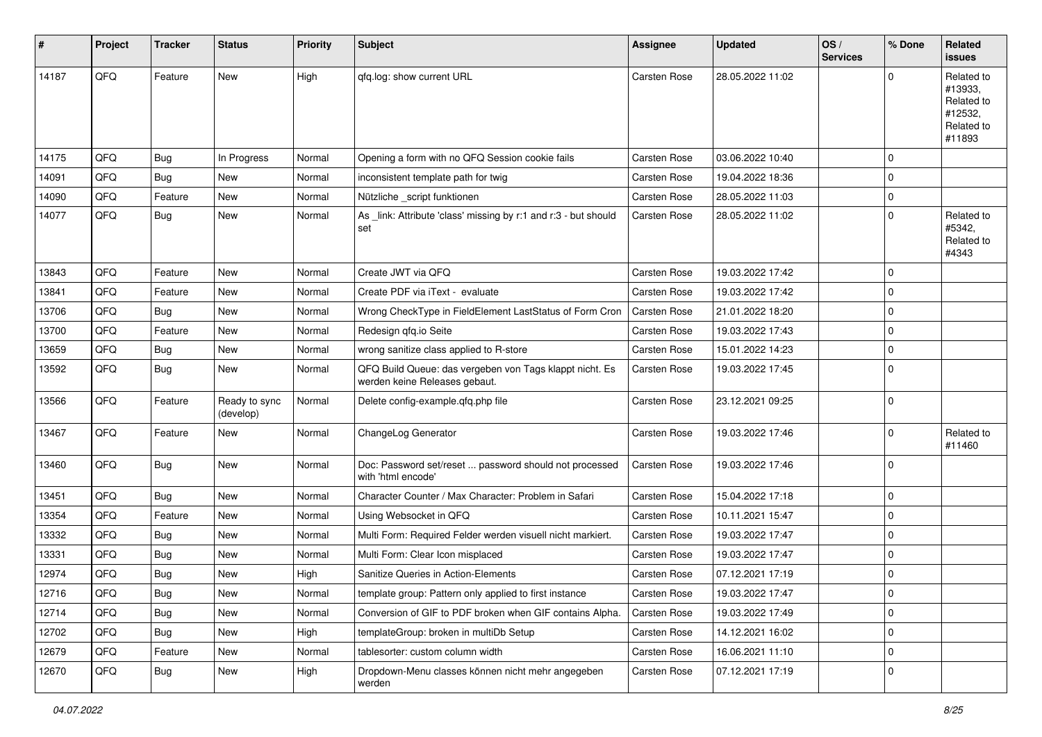| #     | Project | <b>Tracker</b> | <b>Status</b>              | <b>Priority</b> | Subject                                                                                  | <b>Assignee</b>     | <b>Updated</b>   | OS/<br><b>Services</b> | % Done      | Related<br><b>issues</b>                                               |
|-------|---------|----------------|----------------------------|-----------------|------------------------------------------------------------------------------------------|---------------------|------------------|------------------------|-------------|------------------------------------------------------------------------|
| 14187 | QFQ     | Feature        | New                        | High            | gfg.log: show current URL                                                                | Carsten Rose        | 28.05.2022 11:02 |                        | $\Omega$    | Related to<br>#13933,<br>Related to<br>#12532,<br>Related to<br>#11893 |
| 14175 | QFQ     | <b>Bug</b>     | In Progress                | Normal          | Opening a form with no QFQ Session cookie fails                                          | Carsten Rose        | 03.06.2022 10:40 |                        | $\mathbf 0$ |                                                                        |
| 14091 | QFQ     | <b>Bug</b>     | New                        | Normal          | inconsistent template path for twig                                                      | Carsten Rose        | 19.04.2022 18:36 |                        | $\mathbf 0$ |                                                                        |
| 14090 | QFQ     | Feature        | New                        | Normal          | Nützliche_script funktionen                                                              | Carsten Rose        | 28.05.2022 11:03 |                        | 0           |                                                                        |
| 14077 | QFQ     | Bug            | New                        | Normal          | As _link: Attribute 'class' missing by r:1 and r:3 - but should<br>set                   | <b>Carsten Rose</b> | 28.05.2022 11:02 |                        | $\mathbf 0$ | Related to<br>#5342,<br>Related to<br>#4343                            |
| 13843 | QFQ     | Feature        | New                        | Normal          | Create JWT via QFQ                                                                       | Carsten Rose        | 19.03.2022 17:42 |                        | $\mathbf 0$ |                                                                        |
| 13841 | QFQ     | Feature        | <b>New</b>                 | Normal          | Create PDF via iText - evaluate                                                          | <b>Carsten Rose</b> | 19.03.2022 17:42 |                        | $\mathbf 0$ |                                                                        |
| 13706 | QFQ     | <b>Bug</b>     | New                        | Normal          | Wrong CheckType in FieldElement LastStatus of Form Cron                                  | <b>Carsten Rose</b> | 21.01.2022 18:20 |                        | $\mathbf 0$ |                                                                        |
| 13700 | QFQ     | Feature        | New                        | Normal          | Redesign qfq.io Seite                                                                    | Carsten Rose        | 19.03.2022 17:43 |                        | 0           |                                                                        |
| 13659 | QFQ     | <b>Bug</b>     | New                        | Normal          | wrong sanitize class applied to R-store                                                  | Carsten Rose        | 15.01.2022 14:23 |                        | $\mathbf 0$ |                                                                        |
| 13592 | QFQ     | <b>Bug</b>     | New                        | Normal          | QFQ Build Queue: das vergeben von Tags klappt nicht. Es<br>werden keine Releases gebaut. | Carsten Rose        | 19.03.2022 17:45 |                        | $\mathbf 0$ |                                                                        |
| 13566 | QFQ     | Feature        | Ready to sync<br>(develop) | Normal          | Delete config-example.qfq.php file                                                       | Carsten Rose        | 23.12.2021 09:25 |                        | 0           |                                                                        |
| 13467 | QFQ     | Feature        | <b>New</b>                 | Normal          | ChangeLog Generator                                                                      | Carsten Rose        | 19.03.2022 17:46 |                        | 0           | Related to<br>#11460                                                   |
| 13460 | QFQ     | Bug            | <b>New</b>                 | Normal          | Doc: Password set/reset  password should not processed<br>with 'html encode'             | Carsten Rose        | 19.03.2022 17:46 |                        | 0           |                                                                        |
| 13451 | QFQ     | <b>Bug</b>     | New                        | Normal          | Character Counter / Max Character: Problem in Safari                                     | Carsten Rose        | 15.04.2022 17:18 |                        | 0           |                                                                        |
| 13354 | QFQ     | Feature        | New                        | Normal          | Using Websocket in QFQ                                                                   | Carsten Rose        | 10.11.2021 15:47 |                        | $\mathbf 0$ |                                                                        |
| 13332 | QFQ     | Bug            | New                        | Normal          | Multi Form: Required Felder werden visuell nicht markiert.                               | Carsten Rose        | 19.03.2022 17:47 |                        | $\mathbf 0$ |                                                                        |
| 13331 | QFQ     | <b>Bug</b>     | New                        | Normal          | Multi Form: Clear Icon misplaced                                                         | Carsten Rose        | 19.03.2022 17:47 |                        | $\mathbf 0$ |                                                                        |
| 12974 | QFQ     | Bug            | <b>New</b>                 | High            | Sanitize Queries in Action-Elements                                                      | <b>Carsten Rose</b> | 07.12.2021 17:19 |                        | 0           |                                                                        |
| 12716 | QFQ     | <b>Bug</b>     | New                        | Normal          | template group: Pattern only applied to first instance                                   | Carsten Rose        | 19.03.2022 17:47 |                        | 0           |                                                                        |
| 12714 | QFQ     | <b>Bug</b>     | New                        | Normal          | Conversion of GIF to PDF broken when GIF contains Alpha.                                 | Carsten Rose        | 19.03.2022 17:49 |                        | 0           |                                                                        |
| 12702 | QFQ     | <b>Bug</b>     | New                        | High            | templateGroup: broken in multiDb Setup                                                   | Carsten Rose        | 14.12.2021 16:02 |                        | 0           |                                                                        |
| 12679 | QFQ     | Feature        | New                        | Normal          | tablesorter: custom column width                                                         | Carsten Rose        | 16.06.2021 11:10 |                        | 0           |                                                                        |
| 12670 | QFQ     | Bug            | New                        | High            | Dropdown-Menu classes können nicht mehr angegeben<br>werden                              | Carsten Rose        | 07.12.2021 17:19 |                        | 0           |                                                                        |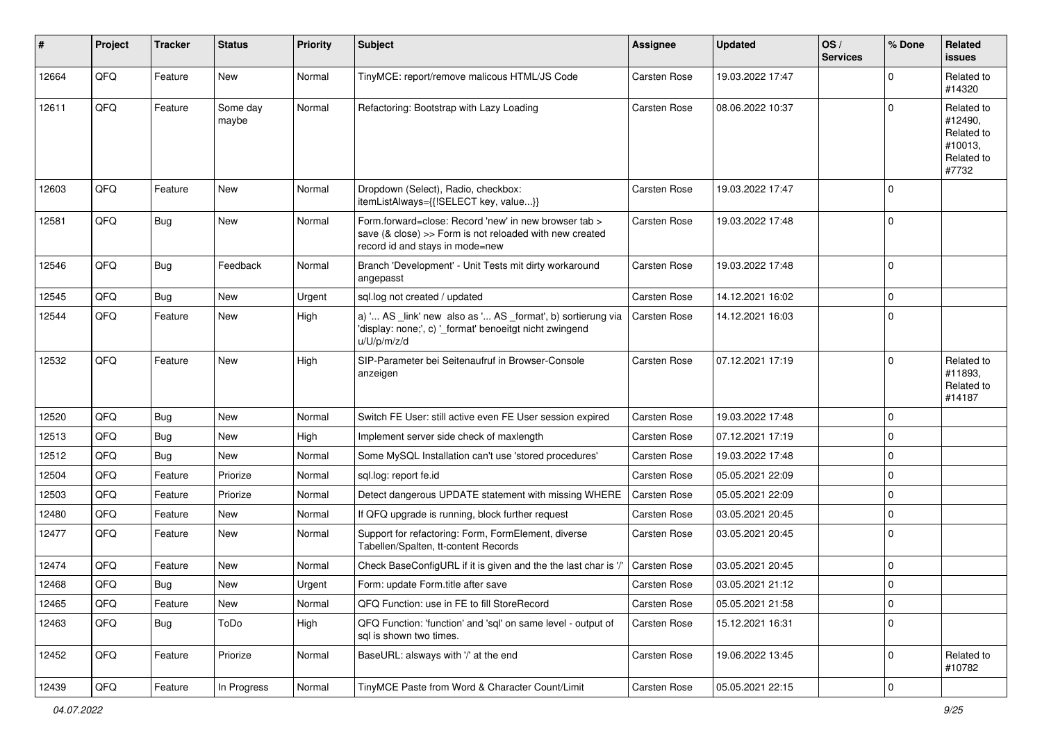| #     | Project | <b>Tracker</b> | <b>Status</b>     | <b>Priority</b> | <b>Subject</b>                                                                                                                                      | <b>Assignee</b>     | <b>Updated</b>   | OS/<br><b>Services</b> | % Done      | <b>Related</b><br>issues                                              |
|-------|---------|----------------|-------------------|-----------------|-----------------------------------------------------------------------------------------------------------------------------------------------------|---------------------|------------------|------------------------|-------------|-----------------------------------------------------------------------|
| 12664 | QFQ     | Feature        | <b>New</b>        | Normal          | TinyMCE: report/remove malicous HTML/JS Code                                                                                                        | <b>Carsten Rose</b> | 19.03.2022 17:47 |                        | 0           | Related to<br>#14320                                                  |
| 12611 | QFQ     | Feature        | Some day<br>maybe | Normal          | Refactoring: Bootstrap with Lazy Loading                                                                                                            | <b>Carsten Rose</b> | 08.06.2022 10:37 |                        | 0           | Related to<br>#12490,<br>Related to<br>#10013,<br>Related to<br>#7732 |
| 12603 | QFQ     | Feature        | <b>New</b>        | Normal          | Dropdown (Select), Radio, checkbox:<br>itemListAlways={{!SELECT key, value}}                                                                        | <b>Carsten Rose</b> | 19.03.2022 17:47 |                        | $\Omega$    |                                                                       |
| 12581 | QFQ     | Bug            | New               | Normal          | Form.forward=close: Record 'new' in new browser tab ><br>save (& close) >> Form is not reloaded with new created<br>record id and stays in mode=new | <b>Carsten Rose</b> | 19.03.2022 17:48 |                        | $\Omega$    |                                                                       |
| 12546 | QFQ     | Bug            | Feedback          | Normal          | Branch 'Development' - Unit Tests mit dirty workaround<br>angepasst                                                                                 | <b>Carsten Rose</b> | 19.03.2022 17:48 |                        | $\Omega$    |                                                                       |
| 12545 | QFQ     | Bug            | New               | Urgent          | sql.log not created / updated                                                                                                                       | <b>Carsten Rose</b> | 14.12.2021 16:02 |                        | 0           |                                                                       |
| 12544 | QFQ     | Feature        | New               | High            | a) ' AS _link' new also as ' AS _format', b) sortierung via<br>'display: none;', c) '_format' benoeitgt nicht zwingend<br>u/U/p/m/z/d               | <b>Carsten Rose</b> | 14.12.2021 16:03 |                        | $\mathbf 0$ |                                                                       |
| 12532 | QFQ     | Feature        | New               | High            | SIP-Parameter bei Seitenaufruf in Browser-Console<br>anzeigen                                                                                       | Carsten Rose        | 07.12.2021 17:19 |                        | $\Omega$    | Related to<br>#11893,<br>Related to<br>#14187                         |
| 12520 | QFQ     | Bug            | New               | Normal          | Switch FE User: still active even FE User session expired                                                                                           | <b>Carsten Rose</b> | 19.03.2022 17:48 |                        | $\Omega$    |                                                                       |
| 12513 | QFQ     | Bug            | New               | High            | Implement server side check of maxlength                                                                                                            | <b>Carsten Rose</b> | 07.12.2021 17:19 |                        | 0           |                                                                       |
| 12512 | QFQ     | Bug            | New               | Normal          | Some MySQL Installation can't use 'stored procedures'                                                                                               | <b>Carsten Rose</b> | 19.03.2022 17:48 |                        | 0           |                                                                       |
| 12504 | QFQ     | Feature        | Priorize          | Normal          | sql.log: report fe.id                                                                                                                               | <b>Carsten Rose</b> | 05.05.2021 22:09 |                        | 0           |                                                                       |
| 12503 | QFQ     | Feature        | Priorize          | Normal          | Detect dangerous UPDATE statement with missing WHERE                                                                                                | <b>Carsten Rose</b> | 05.05.2021 22:09 |                        | $\Omega$    |                                                                       |
| 12480 | QFQ     | Feature        | New               | Normal          | If QFQ upgrade is running, block further request                                                                                                    | <b>Carsten Rose</b> | 03.05.2021 20:45 |                        | $\mathbf 0$ |                                                                       |
| 12477 | QFQ     | Feature        | New               | Normal          | Support for refactoring: Form, FormElement, diverse<br>Tabellen/Spalten, tt-content Records                                                         | <b>Carsten Rose</b> | 03.05.2021 20:45 |                        | $\Omega$    |                                                                       |
| 12474 | QFQ     | Feature        | New               | Normal          | Check BaseConfigURL if it is given and the the last char is '/                                                                                      | <b>Carsten Rose</b> | 03.05.2021 20:45 |                        | $\mathbf 0$ |                                                                       |
| 12468 | QFQ     | Bug            | <b>New</b>        | Urgent          | Form: update Form.title after save                                                                                                                  | <b>Carsten Rose</b> | 03.05.2021 21:12 |                        | $\Omega$    |                                                                       |
| 12465 | QFQ     | Feature        | New               | Normal          | QFQ Function: use in FE to fill StoreRecord                                                                                                         | Carsten Rose        | 05.05.2021 21:58 |                        | $\mathbf 0$ |                                                                       |
| 12463 | QFQ     | <b>Bug</b>     | ToDo              | High            | QFQ Function: 'function' and 'sql' on same level - output of<br>sql is shown two times.                                                             | <b>Carsten Rose</b> | 15.12.2021 16:31 |                        | $\Omega$    |                                                                       |
| 12452 | QFQ     | Feature        | Priorize          | Normal          | BaseURL: alsways with '/' at the end                                                                                                                | <b>Carsten Rose</b> | 19.06.2022 13:45 |                        | $\mathbf 0$ | Related to<br>#10782                                                  |
| 12439 | QFQ     | Feature        | In Progress       | Normal          | TinyMCE Paste from Word & Character Count/Limit                                                                                                     | Carsten Rose        | 05.05.2021 22:15 |                        | $\mathbf 0$ |                                                                       |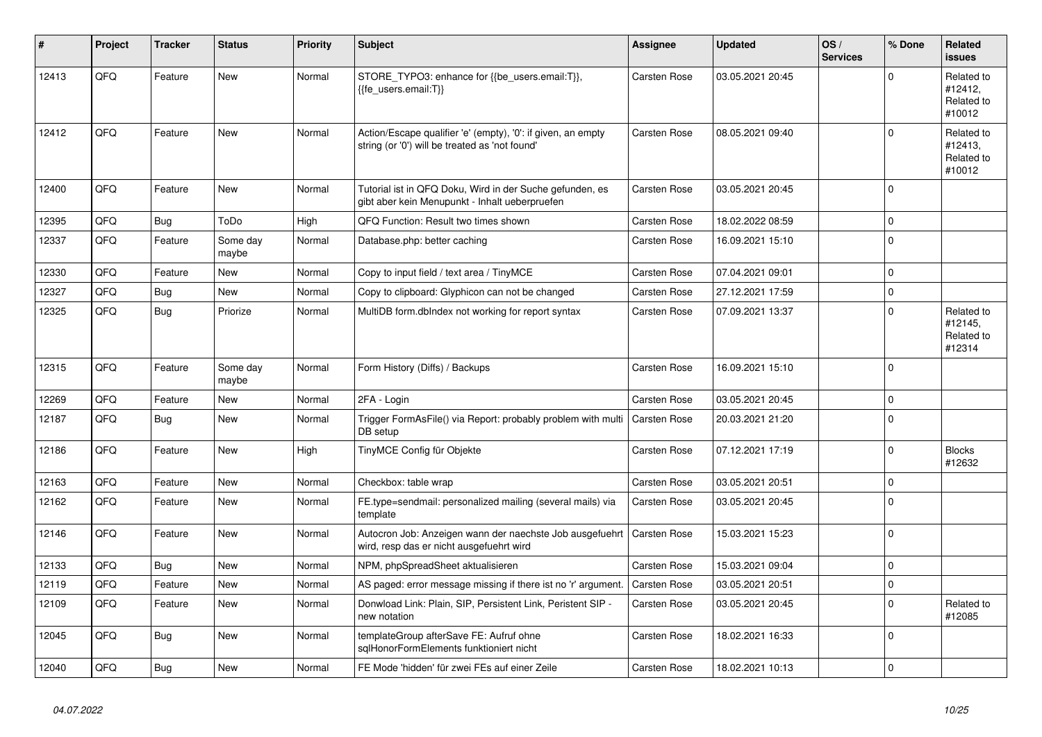| ∦     | Project | <b>Tracker</b> | <b>Status</b>     | <b>Priority</b> | <b>Subject</b>                                                                                                 | Assignee            | <b>Updated</b>   | OS/<br><b>Services</b> | % Done   | Related<br><b>issues</b>                      |
|-------|---------|----------------|-------------------|-----------------|----------------------------------------------------------------------------------------------------------------|---------------------|------------------|------------------------|----------|-----------------------------------------------|
| 12413 | QFQ     | Feature        | New               | Normal          | STORE_TYPO3: enhance for {{be_users.email:T}},<br>{{fe users.email:T}}                                         | Carsten Rose        | 03.05.2021 20:45 |                        | $\Omega$ | Related to<br>#12412,<br>Related to<br>#10012 |
| 12412 | QFQ     | Feature        | <b>New</b>        | Normal          | Action/Escape qualifier 'e' (empty), '0': if given, an empty<br>string (or '0') will be treated as 'not found' | <b>Carsten Rose</b> | 08.05.2021 09:40 |                        | $\Omega$ | Related to<br>#12413.<br>Related to<br>#10012 |
| 12400 | QFQ     | Feature        | <b>New</b>        | Normal          | Tutorial ist in QFQ Doku, Wird in der Suche gefunden, es<br>gibt aber kein Menupunkt - Inhalt ueberpruefen     | <b>Carsten Rose</b> | 03.05.2021 20:45 |                        | $\Omega$ |                                               |
| 12395 | QFQ     | <b>Bug</b>     | ToDo              | High            | QFQ Function: Result two times shown                                                                           | <b>Carsten Rose</b> | 18.02.2022 08:59 |                        | $\Omega$ |                                               |
| 12337 | QFQ     | Feature        | Some day<br>maybe | Normal          | Database.php: better caching                                                                                   | Carsten Rose        | 16.09.2021 15:10 |                        | $\Omega$ |                                               |
| 12330 | QFQ     | Feature        | <b>New</b>        | Normal          | Copy to input field / text area / TinyMCE                                                                      | <b>Carsten Rose</b> | 07.04.2021 09:01 |                        | $\Omega$ |                                               |
| 12327 | QFQ     | Bug            | <b>New</b>        | Normal          | Copy to clipboard: Glyphicon can not be changed                                                                | Carsten Rose        | 27.12.2021 17:59 |                        | $\Omega$ |                                               |
| 12325 | QFQ     | Bug            | Priorize          | Normal          | MultiDB form.dblndex not working for report syntax                                                             | <b>Carsten Rose</b> | 07.09.2021 13:37 |                        | $\Omega$ | Related to<br>#12145.<br>Related to<br>#12314 |
| 12315 | QFQ     | Feature        | Some day<br>maybe | Normal          | Form History (Diffs) / Backups                                                                                 | <b>Carsten Rose</b> | 16.09.2021 15:10 |                        | $\Omega$ |                                               |
| 12269 | QFQ     | Feature        | <b>New</b>        | Normal          | 2FA - Login                                                                                                    | <b>Carsten Rose</b> | 03.05.2021 20:45 |                        | $\Omega$ |                                               |
| 12187 | QFQ     | Bug            | New               | Normal          | Trigger FormAsFile() via Report: probably problem with multi<br>DB setup                                       | <b>Carsten Rose</b> | 20.03.2021 21:20 |                        | $\Omega$ |                                               |
| 12186 | QFQ     | Feature        | <b>New</b>        | High            | TinyMCE Config für Objekte                                                                                     | <b>Carsten Rose</b> | 07.12.2021 17:19 |                        | $\Omega$ | <b>Blocks</b><br>#12632                       |
| 12163 | QFQ     | Feature        | <b>New</b>        | Normal          | Checkbox: table wrap                                                                                           | <b>Carsten Rose</b> | 03.05.2021 20:51 |                        | $\Omega$ |                                               |
| 12162 | QFQ     | Feature        | <b>New</b>        | Normal          | FE.type=sendmail: personalized mailing (several mails) via<br>template                                         | <b>Carsten Rose</b> | 03.05.2021 20:45 |                        | $\Omega$ |                                               |
| 12146 | QFQ     | Feature        | <b>New</b>        | Normal          | Autocron Job: Anzeigen wann der naechste Job ausgefuehrt<br>wird, resp das er nicht ausgefuehrt wird           | <b>Carsten Rose</b> | 15.03.2021 15:23 |                        | $\Omega$ |                                               |
| 12133 | QFQ     | Bug            | New               | Normal          | NPM, phpSpreadSheet aktualisieren                                                                              | <b>Carsten Rose</b> | 15.03.2021 09:04 |                        | $\Omega$ |                                               |
| 12119 | QFQ     | Feature        | <b>New</b>        | Normal          | AS paged: error message missing if there ist no 'r' argument.                                                  | <b>Carsten Rose</b> | 03.05.2021 20:51 |                        | $\Omega$ |                                               |
| 12109 | QFQ     | Feature        | New               | Normal          | Donwload Link: Plain, SIP, Persistent Link, Peristent SIP -<br>new notation                                    | <b>Carsten Rose</b> | 03.05.2021 20:45 |                        | $\Omega$ | Related to<br>#12085                          |
| 12045 | QFQ     | <b>Bug</b>     | <b>New</b>        | Normal          | templateGroup afterSave FE: Aufruf ohne<br>sglHonorFormElements funktioniert nicht                             | <b>Carsten Rose</b> | 18.02.2021 16:33 |                        | $\Omega$ |                                               |
| 12040 | QFQ     | Bug            | New               | Normal          | FE Mode 'hidden' für zwei FEs auf einer Zeile                                                                  | <b>Carsten Rose</b> | 18.02.2021 10:13 |                        | $\Omega$ |                                               |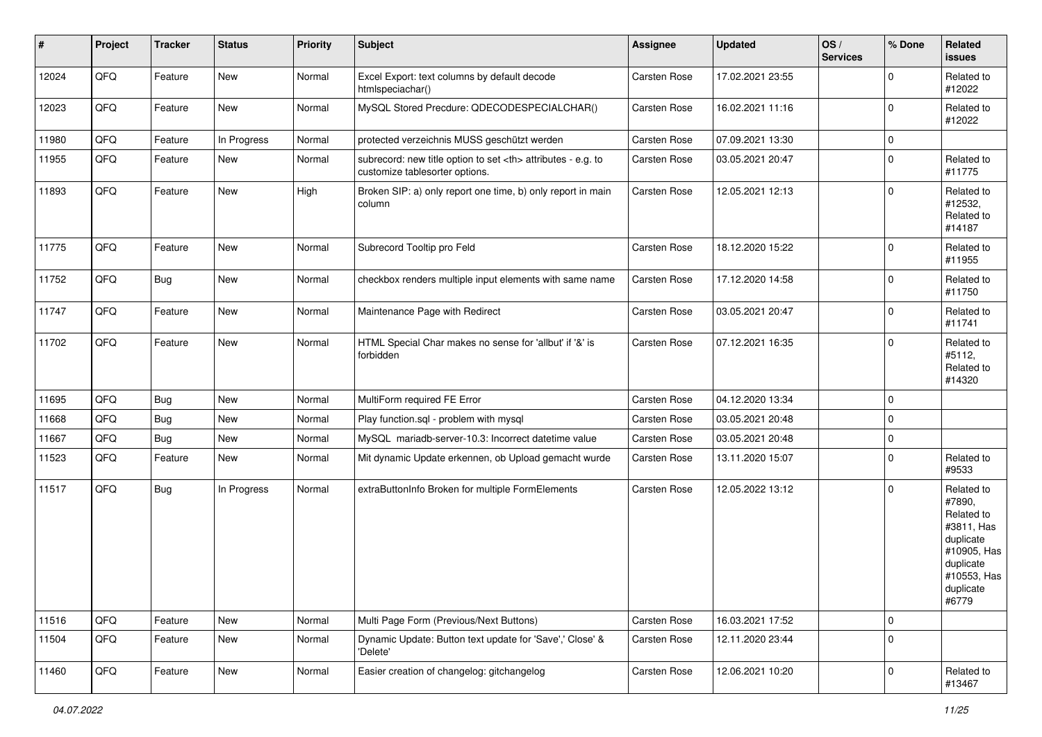| $\vert$ # | Project | <b>Tracker</b> | <b>Status</b> | <b>Priority</b> | <b>Subject</b>                                                                                       | Assignee                                               | <b>Updated</b>   | OS/<br><b>Services</b> | % Done      | Related<br>issues                                                                                                              |                      |
|-----------|---------|----------------|---------------|-----------------|------------------------------------------------------------------------------------------------------|--------------------------------------------------------|------------------|------------------------|-------------|--------------------------------------------------------------------------------------------------------------------------------|----------------------|
| 12024     | QFQ     | Feature        | New           | Normal          | Excel Export: text columns by default decode<br>htmlspeciachar()                                     | Carsten Rose                                           | 17.02.2021 23:55 |                        | $\mathbf 0$ | Related to<br>#12022                                                                                                           |                      |
| 12023     | QFQ     | Feature        | New           | Normal          | MySQL Stored Precdure: QDECODESPECIALCHAR()                                                          | Carsten Rose                                           | 16.02.2021 11:16 |                        | $\mathbf 0$ | Related to<br>#12022                                                                                                           |                      |
| 11980     | QFQ     | Feature        | In Progress   | Normal          | protected verzeichnis MUSS geschützt werden                                                          | Carsten Rose                                           | 07.09.2021 13:30 |                        | $\mathbf 0$ |                                                                                                                                |                      |
| 11955     | QFQ     | Feature        | New           | Normal          | subrecord: new title option to set <th> attributes - e.g. to<br/>customize tablesorter options.</th> | attributes - e.g. to<br>customize tablesorter options. | Carsten Rose     | 03.05.2021 20:47       |             | $\mathbf 0$                                                                                                                    | Related to<br>#11775 |
| 11893     | QFQ     | Feature        | New           | High            | Broken SIP: a) only report one time, b) only report in main<br>column                                | Carsten Rose                                           | 12.05.2021 12:13 |                        | $\mathbf 0$ | Related to<br>#12532,<br>Related to<br>#14187                                                                                  |                      |
| 11775     | QFQ     | Feature        | New           | Normal          | Subrecord Tooltip pro Feld                                                                           | Carsten Rose                                           | 18.12.2020 15:22 |                        | $\mathbf 0$ | Related to<br>#11955                                                                                                           |                      |
| 11752     | QFQ     | <b>Bug</b>     | New           | Normal          | checkbox renders multiple input elements with same name                                              | Carsten Rose                                           | 17.12.2020 14:58 |                        | $\Omega$    | Related to<br>#11750                                                                                                           |                      |
| 11747     | QFQ     | Feature        | New           | Normal          | Maintenance Page with Redirect                                                                       | Carsten Rose                                           | 03.05.2021 20:47 |                        | $\mathbf 0$ | Related to<br>#11741                                                                                                           |                      |
| 11702     | QFQ     | Feature        | New           | Normal          | HTML Special Char makes no sense for 'allbut' if '&' is<br>forbidden                                 | Carsten Rose                                           | 07.12.2021 16:35 |                        | $\mathbf 0$ | Related to<br>#5112,<br>Related to<br>#14320                                                                                   |                      |
| 11695     | QFQ     | Bug            | New           | Normal          | MultiForm required FE Error                                                                          | Carsten Rose                                           | 04.12.2020 13:34 |                        | $\mathbf 0$ |                                                                                                                                |                      |
| 11668     | QFQ     | <b>Bug</b>     | New           | Normal          | Play function.sql - problem with mysql                                                               | Carsten Rose                                           | 03.05.2021 20:48 |                        | $\mathbf 0$ |                                                                                                                                |                      |
| 11667     | QFQ     | Bug            | New           | Normal          | MySQL mariadb-server-10.3: Incorrect datetime value                                                  | Carsten Rose                                           | 03.05.2021 20:48 |                        | $\mathbf 0$ |                                                                                                                                |                      |
| 11523     | QFQ     | Feature        | New           | Normal          | Mit dynamic Update erkennen, ob Upload gemacht wurde                                                 | Carsten Rose                                           | 13.11.2020 15:07 |                        | $\mathbf 0$ | Related to<br>#9533                                                                                                            |                      |
| 11517     | QFQ     | <b>Bug</b>     | In Progress   | Normal          | extraButtonInfo Broken for multiple FormElements                                                     | Carsten Rose                                           | 12.05.2022 13:12 |                        | $\mathbf 0$ | Related to<br>#7890,<br>Related to<br>#3811, Has<br>duplicate<br>#10905, Has<br>duplicate<br>#10553, Has<br>duplicate<br>#6779 |                      |
| 11516     | QFQ     | Feature        | New           | Normal          | Multi Page Form (Previous/Next Buttons)                                                              | Carsten Rose                                           | 16.03.2021 17:52 |                        | $\mathbf 0$ |                                                                                                                                |                      |
| 11504     | QFQ     | Feature        | New           | Normal          | Dynamic Update: Button text update for 'Save',' Close' &<br>'Delete'                                 | Carsten Rose                                           | 12.11.2020 23:44 |                        | $\mathbf 0$ |                                                                                                                                |                      |
| 11460     | QFQ     | Feature        | New           | Normal          | Easier creation of changelog: gitchangelog                                                           | Carsten Rose                                           | 12.06.2021 10:20 |                        | $\mathbf 0$ | Related to<br>#13467                                                                                                           |                      |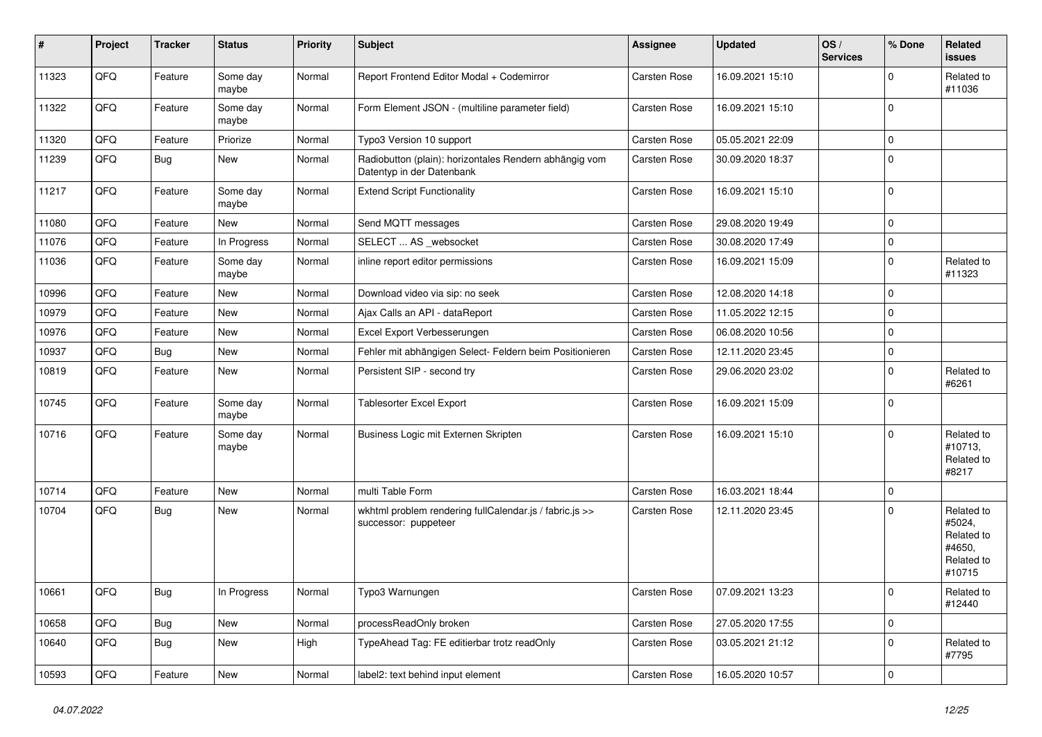| #     | Project | <b>Tracker</b> | <b>Status</b>     | <b>Priority</b> | <b>Subject</b>                                                                      | <b>Assignee</b>     | <b>Updated</b>   | OS/<br><b>Services</b> | % Done      | Related<br>issues                                                    |
|-------|---------|----------------|-------------------|-----------------|-------------------------------------------------------------------------------------|---------------------|------------------|------------------------|-------------|----------------------------------------------------------------------|
| 11323 | QFQ     | Feature        | Some day<br>maybe | Normal          | Report Frontend Editor Modal + Codemirror                                           | Carsten Rose        | 16.09.2021 15:10 |                        | 0           | Related to<br>#11036                                                 |
| 11322 | QFQ     | Feature        | Some day<br>maybe | Normal          | Form Element JSON - (multiline parameter field)                                     | <b>Carsten Rose</b> | 16.09.2021 15:10 |                        | $\mathbf 0$ |                                                                      |
| 11320 | QFQ     | Feature        | Priorize          | Normal          | Typo3 Version 10 support                                                            | <b>Carsten Rose</b> | 05.05.2021 22:09 |                        | $\Omega$    |                                                                      |
| 11239 | QFQ     | Bug            | New               | Normal          | Radiobutton (plain): horizontales Rendern abhängig vom<br>Datentyp in der Datenbank | Carsten Rose        | 30.09.2020 18:37 |                        | $\Omega$    |                                                                      |
| 11217 | QFQ     | Feature        | Some day<br>maybe | Normal          | <b>Extend Script Functionality</b>                                                  | <b>Carsten Rose</b> | 16.09.2021 15:10 |                        | $\mathbf 0$ |                                                                      |
| 11080 | QFQ     | Feature        | New               | Normal          | Send MQTT messages                                                                  | Carsten Rose        | 29.08.2020 19:49 |                        | 0           |                                                                      |
| 11076 | QFQ     | Feature        | In Progress       | Normal          | SELECT  AS _websocket                                                               | Carsten Rose        | 30.08.2020 17:49 |                        | 0           |                                                                      |
| 11036 | QFQ     | Feature        | Some day<br>maybe | Normal          | inline report editor permissions                                                    | <b>Carsten Rose</b> | 16.09.2021 15:09 |                        | $\Omega$    | Related to<br>#11323                                                 |
| 10996 | QFQ     | Feature        | New               | Normal          | Download video via sip: no seek                                                     | Carsten Rose        | 12.08.2020 14:18 |                        | $\Omega$    |                                                                      |
| 10979 | QFQ     | Feature        | New               | Normal          | Ajax Calls an API - dataReport                                                      | Carsten Rose        | 11.05.2022 12:15 |                        | $\mathbf 0$ |                                                                      |
| 10976 | QFQ     | Feature        | New               | Normal          | Excel Export Verbesserungen                                                         | <b>Carsten Rose</b> | 06.08.2020 10:56 |                        | 0           |                                                                      |
| 10937 | QFQ     | Bug            | <b>New</b>        | Normal          | Fehler mit abhängigen Select- Feldern beim Positionieren                            | Carsten Rose        | 12.11.2020 23:45 |                        | $\mathbf 0$ |                                                                      |
| 10819 | QFQ     | Feature        | New               | Normal          | Persistent SIP - second try                                                         | Carsten Rose        | 29.06.2020 23:02 |                        | $\mathbf 0$ | Related to<br>#6261                                                  |
| 10745 | QFQ     | Feature        | Some day<br>maybe | Normal          | <b>Tablesorter Excel Export</b>                                                     | <b>Carsten Rose</b> | 16.09.2021 15:09 |                        | $\mathbf 0$ |                                                                      |
| 10716 | QFQ     | Feature        | Some day<br>maybe | Normal          | Business Logic mit Externen Skripten                                                | <b>Carsten Rose</b> | 16.09.2021 15:10 |                        | $\Omega$    | Related to<br>#10713,<br>Related to<br>#8217                         |
| 10714 | QFQ     | Feature        | <b>New</b>        | Normal          | multi Table Form                                                                    | Carsten Rose        | 16.03.2021 18:44 |                        | $\mathbf 0$ |                                                                      |
| 10704 | QFQ     | <b>Bug</b>     | New               | Normal          | wkhtml problem rendering fullCalendar.js / fabric.js >><br>successor: puppeteer     | <b>Carsten Rose</b> | 12.11.2020 23:45 |                        | U           | Related to<br>#5024,<br>Related to<br>#4650,<br>Related to<br>#10715 |
| 10661 | QFQ     | Bug            | In Progress       | Normal          | Typo3 Warnungen                                                                     | Carsten Rose        | 07.09.2021 13:23 |                        | l 0         | Related to<br>#12440                                                 |
| 10658 | QFQ     | <b>Bug</b>     | New               | Normal          | processReadOnly broken                                                              | Carsten Rose        | 27.05.2020 17:55 |                        | $\mathbf 0$ |                                                                      |
| 10640 | QFQ     | Bug            | New               | High            | TypeAhead Tag: FE editierbar trotz readOnly                                         | Carsten Rose        | 03.05.2021 21:12 |                        | $\mathbf 0$ | Related to<br>#7795                                                  |
| 10593 | QFQ     | Feature        | New               | Normal          | label2: text behind input element                                                   | Carsten Rose        | 16.05.2020 10:57 |                        | 0           |                                                                      |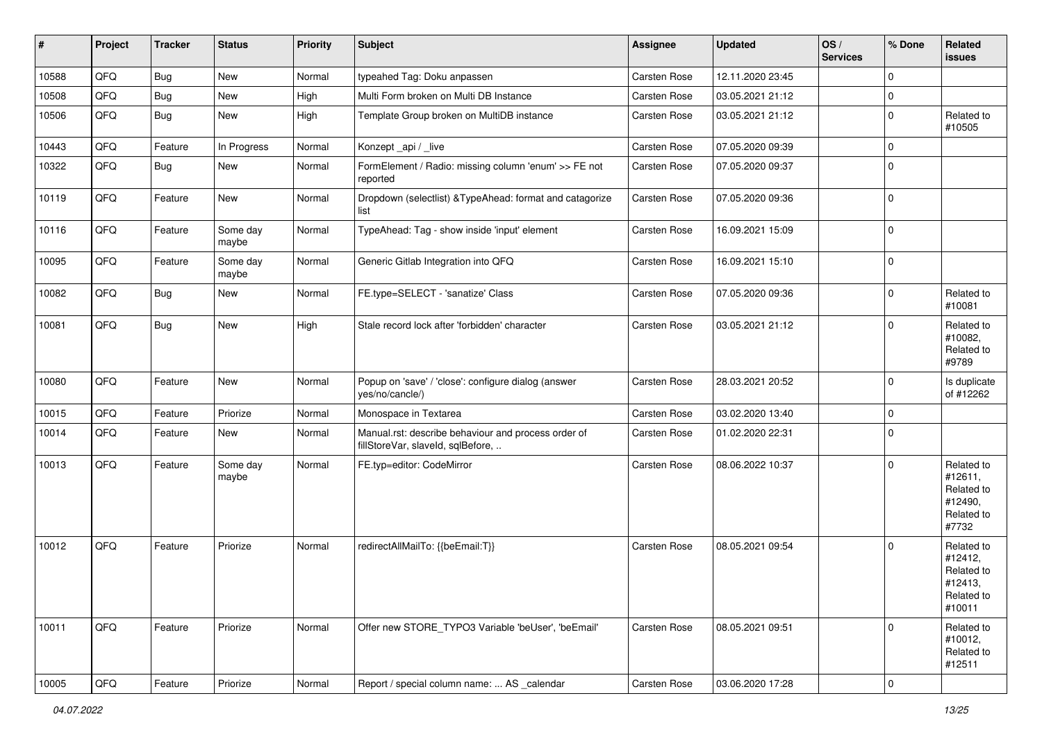| #     | Project | <b>Tracker</b> | <b>Status</b>     | <b>Priority</b> | <b>Subject</b>                                                                           | <b>Assignee</b>     | <b>Updated</b>   | OS/<br><b>Services</b> | % Done         | Related<br>issues                                                      |
|-------|---------|----------------|-------------------|-----------------|------------------------------------------------------------------------------------------|---------------------|------------------|------------------------|----------------|------------------------------------------------------------------------|
| 10588 | QFQ     | <b>Bug</b>     | New               | Normal          | typeahed Tag: Doku anpassen                                                              | Carsten Rose        | 12.11.2020 23:45 |                        | $\Omega$       |                                                                        |
| 10508 | QFQ     | <b>Bug</b>     | New               | High            | Multi Form broken on Multi DB Instance                                                   | <b>Carsten Rose</b> | 03.05.2021 21:12 |                        | $\mathbf 0$    |                                                                        |
| 10506 | QFQ     | Bug            | New               | High            | Template Group broken on MultiDB instance                                                | Carsten Rose        | 03.05.2021 21:12 |                        | $\Omega$       | Related to<br>#10505                                                   |
| 10443 | QFQ     | Feature        | In Progress       | Normal          | Konzept_api / _live                                                                      | <b>Carsten Rose</b> | 07.05.2020 09:39 |                        | $\mathbf 0$    |                                                                        |
| 10322 | QFQ     | Bug            | New               | Normal          | FormElement / Radio: missing column 'enum' >> FE not<br>reported                         | <b>Carsten Rose</b> | 07.05.2020 09:37 |                        | $\Omega$       |                                                                        |
| 10119 | QFQ     | Feature        | New               | Normal          | Dropdown (selectlist) & TypeAhead: format and catagorize<br>list                         | Carsten Rose        | 07.05.2020 09:36 |                        | $\Omega$       |                                                                        |
| 10116 | QFQ     | Feature        | Some day<br>maybe | Normal          | TypeAhead: Tag - show inside 'input' element                                             | <b>Carsten Rose</b> | 16.09.2021 15:09 |                        | 0              |                                                                        |
| 10095 | QFQ     | Feature        | Some day<br>maybe | Normal          | Generic Gitlab Integration into QFQ                                                      | <b>Carsten Rose</b> | 16.09.2021 15:10 |                        | $\mathbf 0$    |                                                                        |
| 10082 | QFQ     | <b>Bug</b>     | New               | Normal          | FE.type=SELECT - 'sanatize' Class                                                        | Carsten Rose        | 07.05.2020 09:36 |                        | $\Omega$       | Related to<br>#10081                                                   |
| 10081 | QFQ     | <b>Bug</b>     | New               | High            | Stale record lock after 'forbidden' character                                            | <b>Carsten Rose</b> | 03.05.2021 21:12 |                        | $\Omega$       | Related to<br>#10082,<br>Related to<br>#9789                           |
| 10080 | QFQ     | Feature        | New               | Normal          | Popup on 'save' / 'close': configure dialog (answer<br>yes/no/cancle/)                   | Carsten Rose        | 28.03.2021 20:52 |                        | $\mathbf 0$    | Is duplicate<br>of #12262                                              |
| 10015 | QFQ     | Feature        | Priorize          | Normal          | Monospace in Textarea                                                                    | Carsten Rose        | 03.02.2020 13:40 |                        | $\Omega$       |                                                                        |
| 10014 | QFQ     | Feature        | New               | Normal          | Manual.rst: describe behaviour and process order of<br>fillStoreVar, slaveId, sqlBefore, | <b>Carsten Rose</b> | 01.02.2020 22:31 |                        | $\mathbf 0$    |                                                                        |
| 10013 | QFQ     | Feature        | Some day<br>maybe | Normal          | FE.typ=editor: CodeMirror                                                                | <b>Carsten Rose</b> | 08.06.2022 10:37 |                        | $\Omega$       | Related to<br>#12611,<br>Related to<br>#12490,<br>Related to<br>#7732  |
| 10012 | QFQ     | Feature        | Priorize          | Normal          | redirectAllMailTo: {{beEmail:T}}                                                         | <b>Carsten Rose</b> | 08.05.2021 09:54 |                        | $\Omega$       | Related to<br>#12412,<br>Related to<br>#12413,<br>Related to<br>#10011 |
| 10011 | QFQ     | Feature        | Priorize          | Normal          | Offer new STORE_TYPO3 Variable 'beUser', 'beEmail'                                       | Carsten Rose        | 08.05.2021 09:51 |                        | 0              | Related to<br>#10012,<br>Related to<br>#12511                          |
| 10005 | QFG     | Feature        | Priorize          | Normal          | Report / special column name:  AS _calendar                                              | Carsten Rose        | 03.06.2020 17:28 |                        | $\overline{0}$ |                                                                        |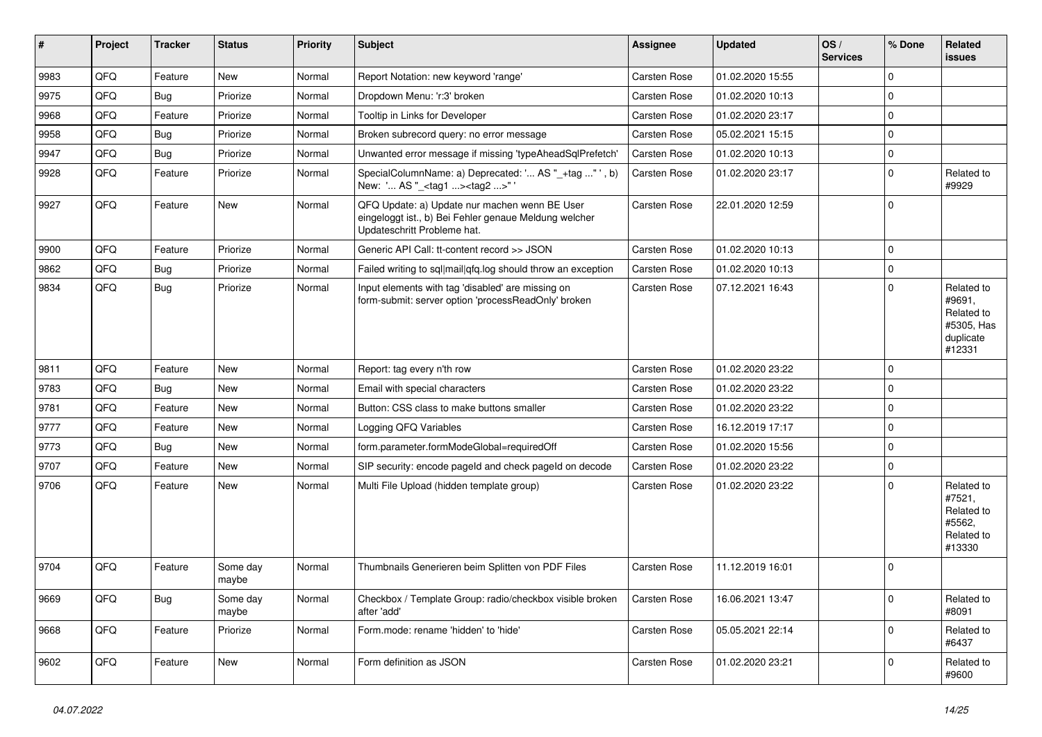| ∥ #  | Project | <b>Tracker</b> | <b>Status</b>     | Priority | <b>Subject</b>                                                                                                                        | Assignee            | <b>Updated</b>   | OS/<br><b>Services</b> | % Done      | Related<br><b>issues</b>                                                |
|------|---------|----------------|-------------------|----------|---------------------------------------------------------------------------------------------------------------------------------------|---------------------|------------------|------------------------|-------------|-------------------------------------------------------------------------|
| 9983 | QFQ     | Feature        | <b>New</b>        | Normal   | Report Notation: new keyword 'range'                                                                                                  | <b>Carsten Rose</b> | 01.02.2020 15:55 |                        | $\mathbf 0$ |                                                                         |
| 9975 | QFQ     | Bug            | Priorize          | Normal   | Dropdown Menu: 'r:3' broken                                                                                                           | <b>Carsten Rose</b> | 01.02.2020 10:13 |                        | $\mathbf 0$ |                                                                         |
| 9968 | QFQ     | Feature        | Priorize          | Normal   | Tooltip in Links for Developer                                                                                                        | <b>Carsten Rose</b> | 01.02.2020 23:17 |                        | $\mathbf 0$ |                                                                         |
| 9958 | QFQ     | <b>Bug</b>     | Priorize          | Normal   | Broken subrecord query: no error message                                                                                              | Carsten Rose        | 05.02.2021 15:15 |                        | $\pmb{0}$   |                                                                         |
| 9947 | QFQ     | Bug            | Priorize          | Normal   | Unwanted error message if missing 'typeAheadSqlPrefetch'                                                                              | Carsten Rose        | 01.02.2020 10:13 |                        | $\pmb{0}$   |                                                                         |
| 9928 | QFQ     | Feature        | Priorize          | Normal   | SpecialColumnName: a) Deprecated: ' AS "_+tag " ', b)<br>New: ' AS "_ <tag1><tag2>"'</tag2></tag1>                                    | <b>Carsten Rose</b> | 01.02.2020 23:17 |                        | $\Omega$    | Related to<br>#9929                                                     |
| 9927 | QFQ     | Feature        | <b>New</b>        | Normal   | QFQ Update: a) Update nur machen wenn BE User<br>eingeloggt ist., b) Bei Fehler genaue Meldung welcher<br>Updateschritt Probleme hat. | Carsten Rose        | 22.01.2020 12:59 |                        | $\mathbf 0$ |                                                                         |
| 9900 | QFQ     | Feature        | Priorize          | Normal   | Generic API Call: tt-content record >> JSON                                                                                           | Carsten Rose        | 01.02.2020 10:13 |                        | $\mathbf 0$ |                                                                         |
| 9862 | QFQ     | <b>Bug</b>     | Priorize          | Normal   | Failed writing to sql mail qfq.log should throw an exception                                                                          | <b>Carsten Rose</b> | 01.02.2020 10:13 |                        | $\mathbf 0$ |                                                                         |
| 9834 | QFQ     | Bug            | Priorize          | Normal   | Input elements with tag 'disabled' are missing on<br>form-submit: server option 'processReadOnly' broken                              | <b>Carsten Rose</b> | 07.12.2021 16:43 |                        | $\mathbf 0$ | Related to<br>#9691,<br>Related to<br>#5305, Has<br>duplicate<br>#12331 |
| 9811 | QFQ     | Feature        | <b>New</b>        | Normal   | Report: tag every n'th row                                                                                                            | Carsten Rose        | 01.02.2020 23:22 |                        | $\mathbf 0$ |                                                                         |
| 9783 | QFQ     | Bug            | <b>New</b>        | Normal   | Email with special characters                                                                                                         | Carsten Rose        | 01.02.2020 23:22 |                        | $\mathbf 0$ |                                                                         |
| 9781 | QFQ     | Feature        | <b>New</b>        | Normal   | Button: CSS class to make buttons smaller                                                                                             | Carsten Rose        | 01.02.2020 23:22 |                        | $\mathbf 0$ |                                                                         |
| 9777 | QFQ     | Feature        | <b>New</b>        | Normal   | Logging QFQ Variables                                                                                                                 | <b>Carsten Rose</b> | 16.12.2019 17:17 |                        | $\mathbf 0$ |                                                                         |
| 9773 | QFQ     | Bug            | <b>New</b>        | Normal   | form.parameter.formModeGlobal=requiredOff                                                                                             | Carsten Rose        | 01.02.2020 15:56 |                        | $\mathbf 0$ |                                                                         |
| 9707 | QFQ     | Feature        | New               | Normal   | SIP security: encode pageld and check pageld on decode                                                                                | <b>Carsten Rose</b> | 01.02.2020 23:22 |                        | $\mathbf 0$ |                                                                         |
| 9706 | QFQ     | Feature        | New               | Normal   | Multi File Upload (hidden template group)                                                                                             | Carsten Rose        | 01.02.2020 23:22 |                        | $\mathbf 0$ | Related to<br>#7521,<br>Related to<br>#5562.<br>Related to<br>#13330    |
| 9704 | QFQ     | Feature        | Some day<br>maybe | Normal   | Thumbnails Generieren beim Splitten von PDF Files                                                                                     | <b>Carsten Rose</b> | 11.12.2019 16:01 |                        | $\mathbf 0$ |                                                                         |
| 9669 | QFQ     | <b>Bug</b>     | Some day<br>maybe | Normal   | Checkbox / Template Group: radio/checkbox visible broken<br>after 'add'                                                               | Carsten Rose        | 16.06.2021 13:47 |                        | $\mathbf 0$ | Related to<br>#8091                                                     |
| 9668 | QFQ     | Feature        | Priorize          | Normal   | Form.mode: rename 'hidden' to 'hide'                                                                                                  | <b>Carsten Rose</b> | 05.05.2021 22:14 |                        | $\mathbf 0$ | Related to<br>#6437                                                     |
| 9602 | QFQ     | Feature        | <b>New</b>        | Normal   | Form definition as JSON                                                                                                               | <b>Carsten Rose</b> | 01.02.2020 23:21 |                        | $\Omega$    | Related to<br>#9600                                                     |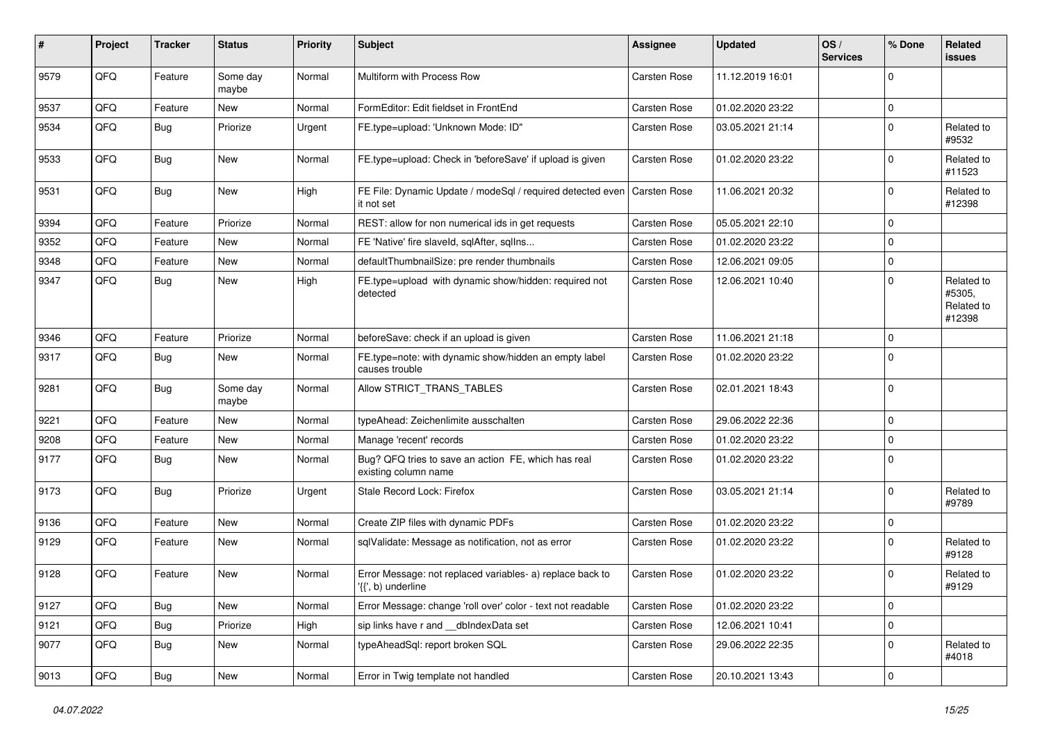| ∦    | Project        | <b>Tracker</b> | <b>Status</b>     | <b>Priority</b> | <b>Subject</b>                                                                  | <b>Assignee</b>     | <b>Updated</b>   | OS/<br><b>Services</b> | % Done      | Related<br><b>issues</b>                     |
|------|----------------|----------------|-------------------|-----------------|---------------------------------------------------------------------------------|---------------------|------------------|------------------------|-------------|----------------------------------------------|
| 9579 | QFQ            | Feature        | Some day<br>maybe | Normal          | Multiform with Process Row                                                      | Carsten Rose        | 11.12.2019 16:01 |                        | $\Omega$    |                                              |
| 9537 | QFQ            | Feature        | <b>New</b>        | Normal          | FormEditor: Edit fieldset in FrontEnd                                           | Carsten Rose        | 01.02.2020 23:22 |                        | $\Omega$    |                                              |
| 9534 | QFQ            | Bug            | Priorize          | Urgent          | FE.type=upload: 'Unknown Mode: ID"                                              | <b>Carsten Rose</b> | 03.05.2021 21:14 |                        | $\Omega$    | Related to<br>#9532                          |
| 9533 | QFQ            | Bug            | <b>New</b>        | Normal          | FE.type=upload: Check in 'beforeSave' if upload is given                        | Carsten Rose        | 01.02.2020 23:22 |                        | $\Omega$    | Related to<br>#11523                         |
| 9531 | QFQ            | Bug            | New               | High            | FE File: Dynamic Update / modeSql / required detected even<br>it not set        | Carsten Rose        | 11.06.2021 20:32 |                        | $\Omega$    | Related to<br>#12398                         |
| 9394 | QFQ            | Feature        | Priorize          | Normal          | REST: allow for non numerical ids in get requests                               | Carsten Rose        | 05.05.2021 22:10 |                        | $\mathbf 0$ |                                              |
| 9352 | QFQ            | Feature        | <b>New</b>        | Normal          | FE 'Native' fire slaveld, sqlAfter, sqlIns                                      | <b>Carsten Rose</b> | 01.02.2020 23:22 |                        | $\Omega$    |                                              |
| 9348 | QFQ            | Feature        | <b>New</b>        | Normal          | defaultThumbnailSize: pre render thumbnails                                     | Carsten Rose        | 12.06.2021 09:05 |                        | $\Omega$    |                                              |
| 9347 | QFQ            | Bug            | <b>New</b>        | High            | FE.type=upload with dynamic show/hidden: required not<br>detected               | <b>Carsten Rose</b> | 12.06.2021 10:40 |                        | $\Omega$    | Related to<br>#5305,<br>Related to<br>#12398 |
| 9346 | QFQ            | Feature        | Priorize          | Normal          | beforeSave: check if an upload is given                                         | <b>Carsten Rose</b> | 11.06.2021 21:18 |                        | $\Omega$    |                                              |
| 9317 | QFQ            | Bug            | New               | Normal          | FE.type=note: with dynamic show/hidden an empty label<br>causes trouble         | <b>Carsten Rose</b> | 01.02.2020 23:22 |                        | $\Omega$    |                                              |
| 9281 | QFQ            | Bug            | Some day<br>maybe | Normal          | Allow STRICT TRANS TABLES                                                       | <b>Carsten Rose</b> | 02.01.2021 18:43 |                        | $\mathbf 0$ |                                              |
| 9221 | QFQ            | Feature        | <b>New</b>        | Normal          | typeAhead: Zeichenlimite ausschalten                                            | Carsten Rose        | 29.06.2022 22:36 |                        | $\Omega$    |                                              |
| 9208 | QFQ            | Feature        | <b>New</b>        | Normal          | Manage 'recent' records                                                         | Carsten Rose        | 01.02.2020 23:22 |                        | $\Omega$    |                                              |
| 9177 | QFQ            | <b>Bug</b>     | <b>New</b>        | Normal          | Bug? QFQ tries to save an action FE, which has real<br>existing column name     | <b>Carsten Rose</b> | 01.02.2020 23:22 |                        | $\Omega$    |                                              |
| 9173 | QFQ            | Bug            | Priorize          | Urgent          | Stale Record Lock: Firefox                                                      | Carsten Rose        | 03.05.2021 21:14 |                        | $\Omega$    | Related to<br>#9789                          |
| 9136 | QFQ            | Feature        | <b>New</b>        | Normal          | Create ZIP files with dynamic PDFs                                              | Carsten Rose        | 01.02.2020 23:22 |                        | $\Omega$    |                                              |
| 9129 | QFQ            | Feature        | <b>New</b>        | Normal          | sqlValidate: Message as notification, not as error                              | <b>Carsten Rose</b> | 01.02.2020 23:22 |                        | $\Omega$    | Related to<br>#9128                          |
| 9128 | QFQ            | Feature        | <b>New</b>        | Normal          | Error Message: not replaced variables- a) replace back to<br>'{{', b) underline | <b>Carsten Rose</b> | 01.02.2020 23:22 |                        | $\Omega$    | Related to<br>#9129                          |
| 9127 | QFQ            | Bug            | New               | Normal          | Error Message: change 'roll over' color - text not readable                     | Carsten Rose        | 01.02.2020 23:22 |                        | $\mathbf 0$ |                                              |
| 9121 | QFQ            | Bug            | Priorize          | High            | sip links have r and __dbIndexData set                                          | Carsten Rose        | 12.06.2021 10:41 |                        | $\mathbf 0$ |                                              |
| 9077 | QFQ            | <b>Bug</b>     | New               | Normal          | typeAheadSql: report broken SQL                                                 | Carsten Rose        | 29.06.2022 22:35 |                        | 0           | Related to<br>#4018                          |
| 9013 | $\mathsf{QFQ}$ | <b>Bug</b>     | New               | Normal          | Error in Twig template not handled                                              | Carsten Rose        | 20.10.2021 13:43 |                        | $\mathbf 0$ |                                              |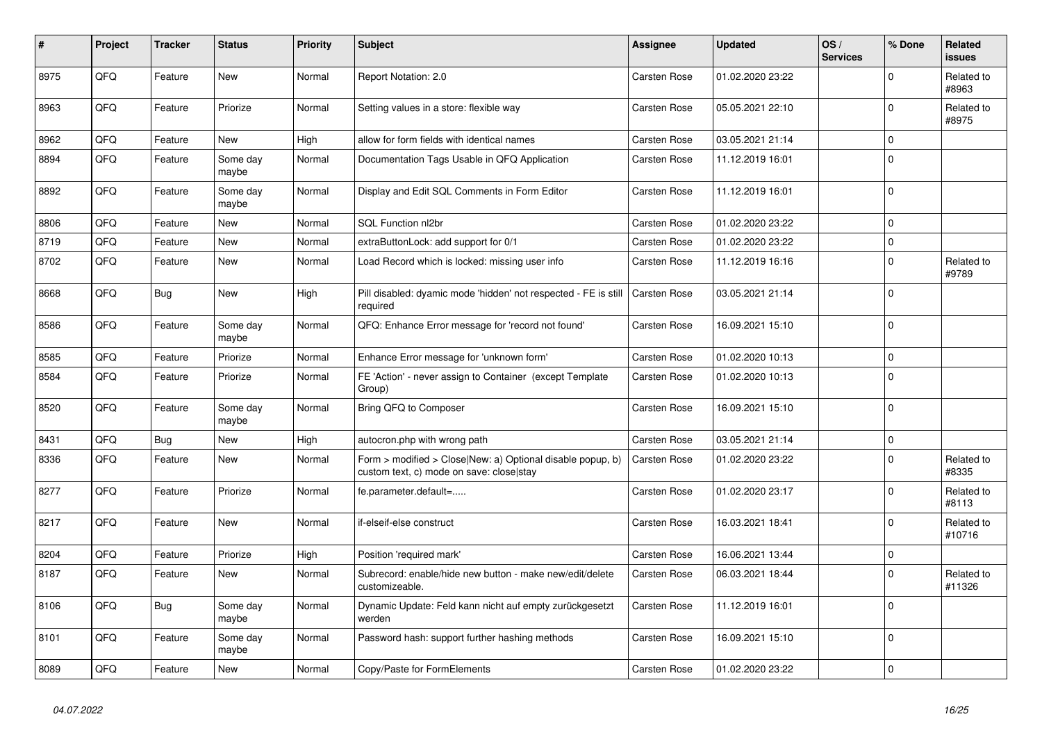| $\vert$ # | Project | <b>Tracker</b> | <b>Status</b>     | <b>Priority</b> | <b>Subject</b>                                                                                         | Assignee            | <b>Updated</b>   | OS/<br><b>Services</b> | % Done      | Related<br>issues    |
|-----------|---------|----------------|-------------------|-----------------|--------------------------------------------------------------------------------------------------------|---------------------|------------------|------------------------|-------------|----------------------|
| 8975      | QFQ     | Feature        | <b>New</b>        | Normal          | Report Notation: 2.0                                                                                   | <b>Carsten Rose</b> | 01.02.2020 23:22 |                        | $\Omega$    | Related to<br>#8963  |
| 8963      | QFQ     | Feature        | Priorize          | Normal          | Setting values in a store: flexible way                                                                | <b>Carsten Rose</b> | 05.05.2021 22:10 |                        | $\Omega$    | Related to<br>#8975  |
| 8962      | QFQ     | Feature        | <b>New</b>        | High            | allow for form fields with identical names                                                             | Carsten Rose        | 03.05.2021 21:14 |                        | $\Omega$    |                      |
| 8894      | QFQ     | Feature        | Some day<br>maybe | Normal          | Documentation Tags Usable in QFQ Application                                                           | Carsten Rose        | 11.12.2019 16:01 |                        | $\Omega$    |                      |
| 8892      | QFQ     | Feature        | Some day<br>maybe | Normal          | Display and Edit SQL Comments in Form Editor                                                           | <b>Carsten Rose</b> | 11.12.2019 16:01 |                        | $\Omega$    |                      |
| 8806      | QFQ     | Feature        | <b>New</b>        | Normal          | SQL Function nl2br                                                                                     | <b>Carsten Rose</b> | 01.02.2020 23:22 |                        | $\Omega$    |                      |
| 8719      | QFQ     | Feature        | <b>New</b>        | Normal          | extraButtonLock: add support for 0/1                                                                   | <b>Carsten Rose</b> | 01.02.2020 23:22 |                        | 0           |                      |
| 8702      | QFQ     | Feature        | New               | Normal          | Load Record which is locked: missing user info                                                         | <b>Carsten Rose</b> | 11.12.2019 16:16 |                        | $\Omega$    | Related to<br>#9789  |
| 8668      | QFQ     | Bug            | <b>New</b>        | High            | Pill disabled: dyamic mode 'hidden' not respected - FE is still<br>required                            | <b>Carsten Rose</b> | 03.05.2021 21:14 |                        | $\Omega$    |                      |
| 8586      | QFQ     | Feature        | Some day<br>maybe | Normal          | QFQ: Enhance Error message for 'record not found'                                                      | Carsten Rose        | 16.09.2021 15:10 |                        | $\mathbf 0$ |                      |
| 8585      | QFQ     | Feature        | Priorize          | Normal          | Enhance Error message for 'unknown form'                                                               | Carsten Rose        | 01.02.2020 10:13 |                        | $\Omega$    |                      |
| 8584      | QFQ     | Feature        | Priorize          | Normal          | FE 'Action' - never assign to Container (except Template<br>Group)                                     | <b>Carsten Rose</b> | 01.02.2020 10:13 |                        | $\Omega$    |                      |
| 8520      | QFQ     | Feature        | Some day<br>maybe | Normal          | Bring QFQ to Composer                                                                                  | <b>Carsten Rose</b> | 16.09.2021 15:10 |                        | $\Omega$    |                      |
| 8431      | QFQ     | <b>Bug</b>     | <b>New</b>        | High            | autocron.php with wrong path                                                                           | Carsten Rose        | 03.05.2021 21:14 |                        | $\Omega$    |                      |
| 8336      | QFQ     | Feature        | New               | Normal          | Form > modified > Close New: a) Optional disable popup, b)<br>custom text, c) mode on save: close stay | Carsten Rose        | 01.02.2020 23:22 |                        | $\Omega$    | Related to<br>#8335  |
| 8277      | QFQ     | Feature        | Priorize          | Normal          | fe.parameter.default=                                                                                  | Carsten Rose        | 01.02.2020 23:17 |                        | $\Omega$    | Related to<br>#8113  |
| 8217      | QFQ     | Feature        | <b>New</b>        | Normal          | if-elseif-else construct                                                                               | Carsten Rose        | 16.03.2021 18:41 |                        | $\Omega$    | Related to<br>#10716 |
| 8204      | QFQ     | Feature        | Priorize          | High            | Position 'required mark'                                                                               | <b>Carsten Rose</b> | 16.06.2021 13:44 |                        | $\mathbf 0$ |                      |
| 8187      | QFQ     | Feature        | <b>New</b>        | Normal          | Subrecord: enable/hide new button - make new/edit/delete<br>customizeable.                             | Carsten Rose        | 06.03.2021 18:44 |                        | $\Omega$    | Related to<br>#11326 |
| 8106      | QFQ     | Bug            | Some day<br>maybe | Normal          | Dynamic Update: Feld kann nicht auf empty zurückgesetzt<br>werden                                      | <b>Carsten Rose</b> | 11.12.2019 16:01 |                        | $\Omega$    |                      |
| 8101      | QFQ     | Feature        | Some day<br>maybe | Normal          | Password hash: support further hashing methods                                                         | <b>Carsten Rose</b> | 16.09.2021 15:10 |                        | $\Omega$    |                      |
| 8089      | QFQ     | Feature        | <b>New</b>        | Normal          | Copy/Paste for FormElements                                                                            | <b>Carsten Rose</b> | 01.02.2020 23:22 |                        | $\Omega$    |                      |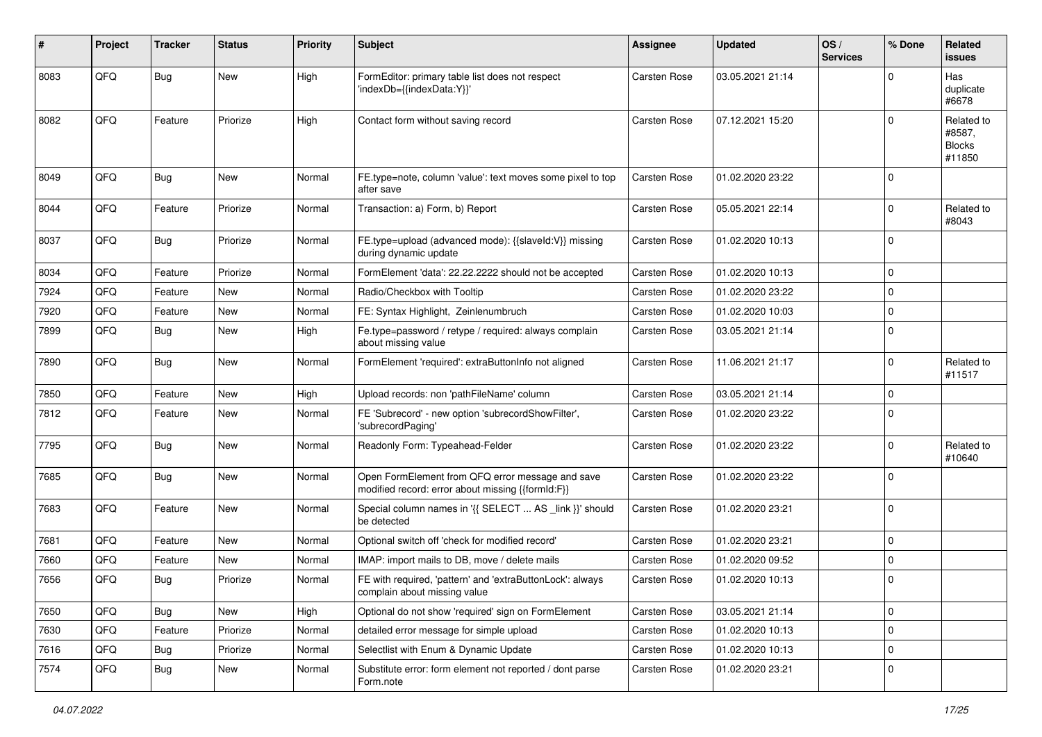| #    | Project | <b>Tracker</b> | <b>Status</b> | <b>Priority</b> | <b>Subject</b>                                                                                        | <b>Assignee</b>     | <b>Updated</b>   | OS/<br><b>Services</b> | % Done      | Related<br>issues                               |
|------|---------|----------------|---------------|-----------------|-------------------------------------------------------------------------------------------------------|---------------------|------------------|------------------------|-------------|-------------------------------------------------|
| 8083 | QFQ     | <b>Bug</b>     | <b>New</b>    | High            | FormEditor: primary table list does not respect<br>'indexDb={{indexData:Y}}'                          | Carsten Rose        | 03.05.2021 21:14 |                        | 0           | Has<br>duplicate<br>#6678                       |
| 8082 | QFQ     | Feature        | Priorize      | High            | Contact form without saving record                                                                    | <b>Carsten Rose</b> | 07.12.2021 15:20 |                        | $\Omega$    | Related to<br>#8587,<br><b>Blocks</b><br>#11850 |
| 8049 | QFQ     | <b>Bug</b>     | New           | Normal          | FE.type=note, column 'value': text moves some pixel to top<br>after save                              | <b>Carsten Rose</b> | 01.02.2020 23:22 |                        | $\Omega$    |                                                 |
| 8044 | QFQ     | Feature        | Priorize      | Normal          | Transaction: a) Form, b) Report                                                                       | <b>Carsten Rose</b> | 05.05.2021 22:14 |                        | $\Omega$    | Related to<br>#8043                             |
| 8037 | QFQ     | <b>Bug</b>     | Priorize      | Normal          | FE.type=upload (advanced mode): {{slaveId:V}} missing<br>during dynamic update                        | <b>Carsten Rose</b> | 01.02.2020 10:13 |                        | $\mathbf 0$ |                                                 |
| 8034 | QFQ     | Feature        | Priorize      | Normal          | FormElement 'data': 22.22.2222 should not be accepted                                                 | <b>Carsten Rose</b> | 01.02.2020 10:13 |                        | $\Omega$    |                                                 |
| 7924 | QFQ     | Feature        | <b>New</b>    | Normal          | Radio/Checkbox with Tooltip                                                                           | <b>Carsten Rose</b> | 01.02.2020 23:22 |                        | 0           |                                                 |
| 7920 | QFQ     | Feature        | New           | Normal          | FE: Syntax Highlight, Zeinlenumbruch                                                                  | <b>Carsten Rose</b> | 01.02.2020 10:03 |                        | 0           |                                                 |
| 7899 | QFQ     | Bug            | New           | High            | Fe.type=password / retype / required: always complain<br>about missing value                          | Carsten Rose        | 03.05.2021 21:14 |                        | $\Omega$    |                                                 |
| 7890 | QFG     | Bug            | New           | Normal          | FormElement 'required': extraButtonInfo not aligned                                                   | Carsten Rose        | 11.06.2021 21:17 |                        | 0           | Related to<br>#11517                            |
| 7850 | QFQ     | Feature        | New           | High            | Upload records: non 'pathFileName' column                                                             | <b>Carsten Rose</b> | 03.05.2021 21:14 |                        | $\mathbf 0$ |                                                 |
| 7812 | QFQ     | Feature        | New           | Normal          | FE 'Subrecord' - new option 'subrecordShowFilter',<br>'subrecordPaging'                               | <b>Carsten Rose</b> | 01.02.2020 23:22 |                        | $\Omega$    |                                                 |
| 7795 | QFQ     | <b>Bug</b>     | New           | Normal          | Readonly Form: Typeahead-Felder                                                                       | Carsten Rose        | 01.02.2020 23:22 |                        | $\Omega$    | Related to<br>#10640                            |
| 7685 | QFQ     | <b>Bug</b>     | New           | Normal          | Open FormElement from QFQ error message and save<br>modified record: error about missing {{formId:F}} | <b>Carsten Rose</b> | 01.02.2020 23:22 |                        | $\Omega$    |                                                 |
| 7683 | QFQ     | Feature        | New           | Normal          | Special column names in '{{ SELECT  AS _link }}' should<br>be detected                                | <b>Carsten Rose</b> | 01.02.2020 23:21 |                        | $\mathbf 0$ |                                                 |
| 7681 | QFQ     | Feature        | New           | Normal          | Optional switch off 'check for modified record'                                                       | Carsten Rose        | 01.02.2020 23:21 |                        | 0           |                                                 |
| 7660 | QFQ     | Feature        | <b>New</b>    | Normal          | IMAP: import mails to DB, move / delete mails                                                         | <b>Carsten Rose</b> | 01.02.2020 09:52 |                        | $\Omega$    |                                                 |
| 7656 | QFQ     | Bug            | Priorize      | Normal          | FE with required, 'pattern' and 'extraButtonLock': always<br>complain about missing value             | <b>Carsten Rose</b> | 01.02.2020 10:13 |                        | $\Omega$    |                                                 |
| 7650 | QFQ     | <b>Bug</b>     | New           | High            | Optional do not show 'required' sign on FormElement                                                   | Carsten Rose        | 03.05.2021 21:14 |                        | 0           |                                                 |
| 7630 | QFQ     | Feature        | Priorize      | Normal          | detailed error message for simple upload                                                              | Carsten Rose        | 01.02.2020 10:13 |                        | 0           |                                                 |
| 7616 | QFQ     | Bug            | Priorize      | Normal          | Selectlist with Enum & Dynamic Update                                                                 | Carsten Rose        | 01.02.2020 10:13 |                        | $\mathbf 0$ |                                                 |
| 7574 | QFQ     | Bug            | New           | Normal          | Substitute error: form element not reported / dont parse<br>Form.note                                 | Carsten Rose        | 01.02.2020 23:21 |                        | 0           |                                                 |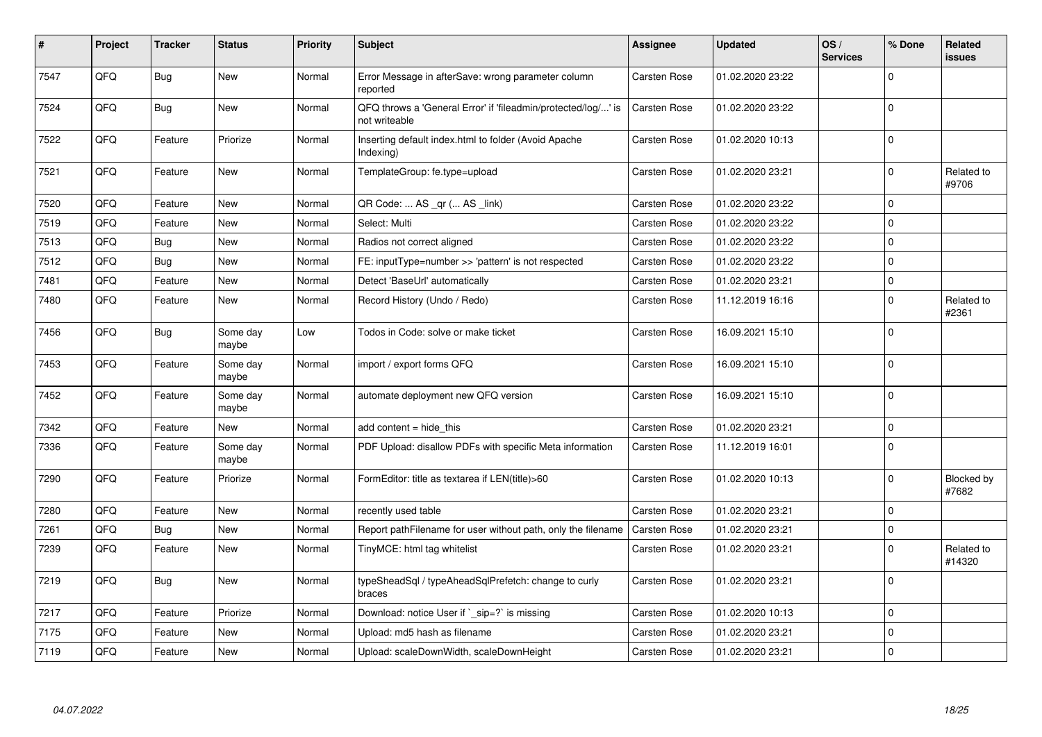| #    | Project | <b>Tracker</b> | <b>Status</b>     | <b>Priority</b> | <b>Subject</b>                                                                 | <b>Assignee</b>     | <b>Updated</b>   | OS/<br><b>Services</b> | % Done      | Related<br><b>issues</b>   |
|------|---------|----------------|-------------------|-----------------|--------------------------------------------------------------------------------|---------------------|------------------|------------------------|-------------|----------------------------|
| 7547 | QFQ     | Bug            | <b>New</b>        | Normal          | Error Message in afterSave: wrong parameter column<br>reported                 | Carsten Rose        | 01.02.2020 23:22 |                        | $\Omega$    |                            |
| 7524 | QFQ     | Bug            | <b>New</b>        | Normal          | QFQ throws a 'General Error' if 'fileadmin/protected/log/' is<br>not writeable | <b>Carsten Rose</b> | 01.02.2020 23:22 |                        | $\Omega$    |                            |
| 7522 | QFQ     | Feature        | Priorize          | Normal          | Inserting default index.html to folder (Avoid Apache<br>Indexing)              | <b>Carsten Rose</b> | 01.02.2020 10:13 |                        | $\mathbf 0$ |                            |
| 7521 | QFQ     | Feature        | New               | Normal          | TemplateGroup: fe.type=upload                                                  | Carsten Rose        | 01.02.2020 23:21 |                        | $\mathbf 0$ | Related to<br>#9706        |
| 7520 | QFQ     | Feature        | <b>New</b>        | Normal          | QR Code:  AS _qr ( AS _link)                                                   | Carsten Rose        | 01.02.2020 23:22 |                        | $\mathbf 0$ |                            |
| 7519 | QFQ     | Feature        | <b>New</b>        | Normal          | Select: Multi                                                                  | Carsten Rose        | 01.02.2020 23:22 |                        | $\Omega$    |                            |
| 7513 | QFQ     | <b>Bug</b>     | <b>New</b>        | Normal          | Radios not correct aligned                                                     | Carsten Rose        | 01.02.2020 23:22 |                        | $\Omega$    |                            |
| 7512 | QFQ     | Bug            | <b>New</b>        | Normal          | FE: inputType=number >> 'pattern' is not respected                             | <b>Carsten Rose</b> | 01.02.2020 23:22 |                        | $\Omega$    |                            |
| 7481 | QFQ     | Feature        | <b>New</b>        | Normal          | Detect 'BaseUrl' automatically                                                 | Carsten Rose        | 01.02.2020 23:21 |                        | $\mathbf 0$ |                            |
| 7480 | QFQ     | Feature        | New               | Normal          | Record History (Undo / Redo)                                                   | <b>Carsten Rose</b> | 11.12.2019 16:16 |                        | $\Omega$    | Related to<br>#2361        |
| 7456 | QFQ     | Bug            | Some day<br>maybe | Low             | Todos in Code: solve or make ticket                                            | Carsten Rose        | 16.09.2021 15:10 |                        | 0           |                            |
| 7453 | QFQ     | Feature        | Some day<br>maybe | Normal          | import / export forms QFQ                                                      | <b>Carsten Rose</b> | 16.09.2021 15:10 |                        | $\Omega$    |                            |
| 7452 | QFQ     | Feature        | Some day<br>maybe | Normal          | automate deployment new QFQ version                                            | <b>Carsten Rose</b> | 16.09.2021 15:10 |                        | $\Omega$    |                            |
| 7342 | QFQ     | Feature        | <b>New</b>        | Normal          | add content $=$ hide this                                                      | <b>Carsten Rose</b> | 01.02.2020 23:21 |                        | $\Omega$    |                            |
| 7336 | QFQ     | Feature        | Some day<br>maybe | Normal          | PDF Upload: disallow PDFs with specific Meta information                       | Carsten Rose        | 11.12.2019 16:01 |                        | $\Omega$    |                            |
| 7290 | QFQ     | Feature        | Priorize          | Normal          | FormEditor: title as textarea if LEN(title)>60                                 | Carsten Rose        | 01.02.2020 10:13 |                        | $\Omega$    | <b>Blocked by</b><br>#7682 |
| 7280 | QFQ     | Feature        | <b>New</b>        | Normal          | recently used table                                                            | Carsten Rose        | 01.02.2020 23:21 |                        | $\mathbf 0$ |                            |
| 7261 | QFQ     | <b>Bug</b>     | <b>New</b>        | Normal          | Report pathFilename for user without path, only the filename                   | Carsten Rose        | 01.02.2020 23:21 |                        | $\mathbf 0$ |                            |
| 7239 | QFQ     | Feature        | New               | Normal          | TinyMCE: html tag whitelist                                                    | Carsten Rose        | 01.02.2020 23:21 |                        | $\Omega$    | Related to<br>#14320       |
| 7219 | QFQ     | Bug            | New               | Normal          | typeSheadSql / typeAheadSqlPrefetch: change to curly<br>braces                 | <b>Carsten Rose</b> | 01.02.2020 23:21 |                        | $\Omega$    |                            |
| 7217 | QFQ     | Feature        | Priorize          | Normal          | Download: notice User if $\degree$ sip=? is missing                            | Carsten Rose        | 01.02.2020 10:13 |                        | $\mathbf 0$ |                            |
| 7175 | QFQ     | Feature        | New               | Normal          | Upload: md5 hash as filename                                                   | <b>Carsten Rose</b> | 01.02.2020 23:21 |                        | $\mathbf 0$ |                            |
| 7119 | QFQ     | Feature        | <b>New</b>        | Normal          | Upload: scaleDownWidth, scaleDownHeight                                        | Carsten Rose        | 01.02.2020 23:21 |                        | $\Omega$    |                            |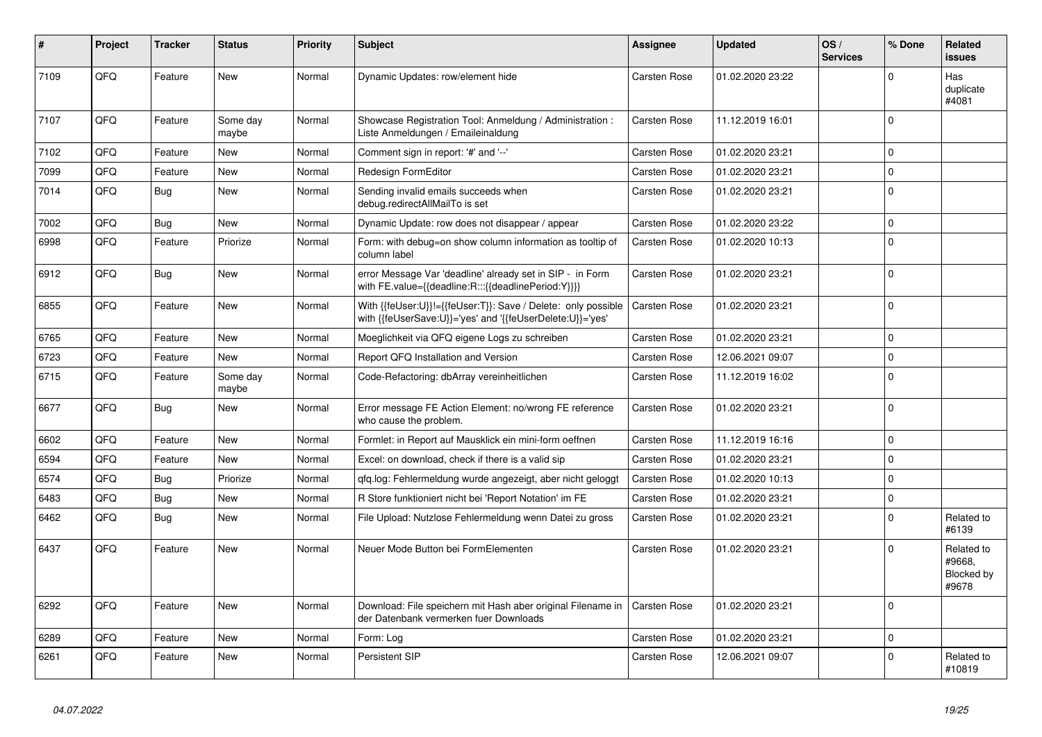| #    | Project | <b>Tracker</b> | <b>Status</b>     | <b>Priority</b> | <b>Subject</b>                                                                                                             | Assignee            | <b>Updated</b>   | OS/<br><b>Services</b> | % Done         | Related<br><b>issues</b>                    |
|------|---------|----------------|-------------------|-----------------|----------------------------------------------------------------------------------------------------------------------------|---------------------|------------------|------------------------|----------------|---------------------------------------------|
| 7109 | QFQ     | Feature        | <b>New</b>        | Normal          | Dynamic Updates: row/element hide                                                                                          | <b>Carsten Rose</b> | 01.02.2020 23:22 |                        | $\Omega$       | Has<br>duplicate<br>#4081                   |
| 7107 | QFQ     | Feature        | Some day<br>maybe | Normal          | Showcase Registration Tool: Anmeldung / Administration :<br>Liste Anmeldungen / Emaileinaldung                             | <b>Carsten Rose</b> | 11.12.2019 16:01 |                        | $\Omega$       |                                             |
| 7102 | QFQ     | Feature        | <b>New</b>        | Normal          | Comment sign in report: '#' and '--'                                                                                       | Carsten Rose        | 01.02.2020 23:21 |                        | $\Omega$       |                                             |
| 7099 | QFQ     | Feature        | <b>New</b>        | Normal          | Redesign FormEditor                                                                                                        | Carsten Rose        | 01.02.2020 23:21 |                        | $\Omega$       |                                             |
| 7014 | QFQ     | <b>Bug</b>     | New               | Normal          | Sending invalid emails succeeds when<br>debug.redirectAllMailTo is set                                                     | Carsten Rose        | 01.02.2020 23:21 |                        | $\overline{0}$ |                                             |
| 7002 | QFQ     | <b>Bug</b>     | <b>New</b>        | Normal          | Dynamic Update: row does not disappear / appear                                                                            | Carsten Rose        | 01.02.2020 23:22 |                        | $\Omega$       |                                             |
| 6998 | QFQ     | Feature        | Priorize          | Normal          | Form: with debug=on show column information as tooltip of<br>column label                                                  | Carsten Rose        | 01.02.2020 10:13 |                        | $\Omega$       |                                             |
| 6912 | QFQ     | <b>Bug</b>     | <b>New</b>        | Normal          | error Message Var 'deadline' already set in SIP - in Form<br>with FE.value={{deadline:R:::{{deadlinePeriod:Y}}}}           | <b>Carsten Rose</b> | 01.02.2020 23:21 |                        | $\Omega$       |                                             |
| 6855 | QFQ     | Feature        | <b>New</b>        | Normal          | With {{feUser:U}}!={{feUser:T}}: Save / Delete: only possible<br>with {{feUserSave:U}}='yes' and '{{feUserDelete:U}}='yes' | <b>Carsten Rose</b> | 01.02.2020 23:21 |                        | $\Omega$       |                                             |
| 6765 | QFQ     | Feature        | New               | Normal          | Moeglichkeit via QFQ eigene Logs zu schreiben                                                                              | Carsten Rose        | 01.02.2020 23:21 |                        | $\Omega$       |                                             |
| 6723 | QFQ     | Feature        | <b>New</b>        | Normal          | Report QFQ Installation and Version                                                                                        | Carsten Rose        | 12.06.2021 09:07 |                        | $\mathbf 0$    |                                             |
| 6715 | QFQ     | Feature        | Some day<br>maybe | Normal          | Code-Refactoring: dbArray vereinheitlichen                                                                                 | Carsten Rose        | 11.12.2019 16:02 |                        | 0              |                                             |
| 6677 | QFQ     | Bug            | New               | Normal          | Error message FE Action Element: no/wrong FE reference<br>who cause the problem.                                           | Carsten Rose        | 01.02.2020 23:21 |                        | $\mathbf 0$    |                                             |
| 6602 | QFQ     | Feature        | <b>New</b>        | Normal          | Formlet: in Report auf Mausklick ein mini-form oeffnen                                                                     | Carsten Rose        | 11.12.2019 16:16 |                        | $\Omega$       |                                             |
| 6594 | QFQ     | Feature        | <b>New</b>        | Normal          | Excel: on download, check if there is a valid sip                                                                          | Carsten Rose        | 01.02.2020 23:21 |                        | $\Omega$       |                                             |
| 6574 | QFQ     | Bug            | Priorize          | Normal          | qfq.log: Fehlermeldung wurde angezeigt, aber nicht geloggt                                                                 | <b>Carsten Rose</b> | 01.02.2020 10:13 |                        | $\Omega$       |                                             |
| 6483 | QFQ     | <b>Bug</b>     | <b>New</b>        | Normal          | R Store funktioniert nicht bei 'Report Notation' im FE                                                                     | Carsten Rose        | 01.02.2020 23:21 |                        | $\Omega$       |                                             |
| 6462 | QFQ     | <b>Bug</b>     | <b>New</b>        | Normal          | File Upload: Nutzlose Fehlermeldung wenn Datei zu gross                                                                    | <b>Carsten Rose</b> | 01.02.2020 23:21 |                        | $\Omega$       | Related to<br>#6139                         |
| 6437 | QFQ     | Feature        | <b>New</b>        | Normal          | Neuer Mode Button bei FormElementen                                                                                        | <b>Carsten Rose</b> | 01.02.2020 23:21 |                        | $\Omega$       | Related to<br>#9668.<br>Blocked by<br>#9678 |
| 6292 | QFQ     | Feature        | <b>New</b>        | Normal          | Download: File speichern mit Hash aber original Filename in<br>der Datenbank vermerken fuer Downloads                      | <b>Carsten Rose</b> | 01.02.2020 23:21 |                        | $\Omega$       |                                             |
| 6289 | QFQ     | Feature        | <b>New</b>        | Normal          | Form: Log                                                                                                                  | <b>Carsten Rose</b> | 01.02.2020 23:21 |                        | $\mathbf 0$    |                                             |
| 6261 | QFQ     | Feature        | <b>New</b>        | Normal          | Persistent SIP                                                                                                             | Carsten Rose        | 12.06.2021 09:07 |                        | $\Omega$       | Related to<br>#10819                        |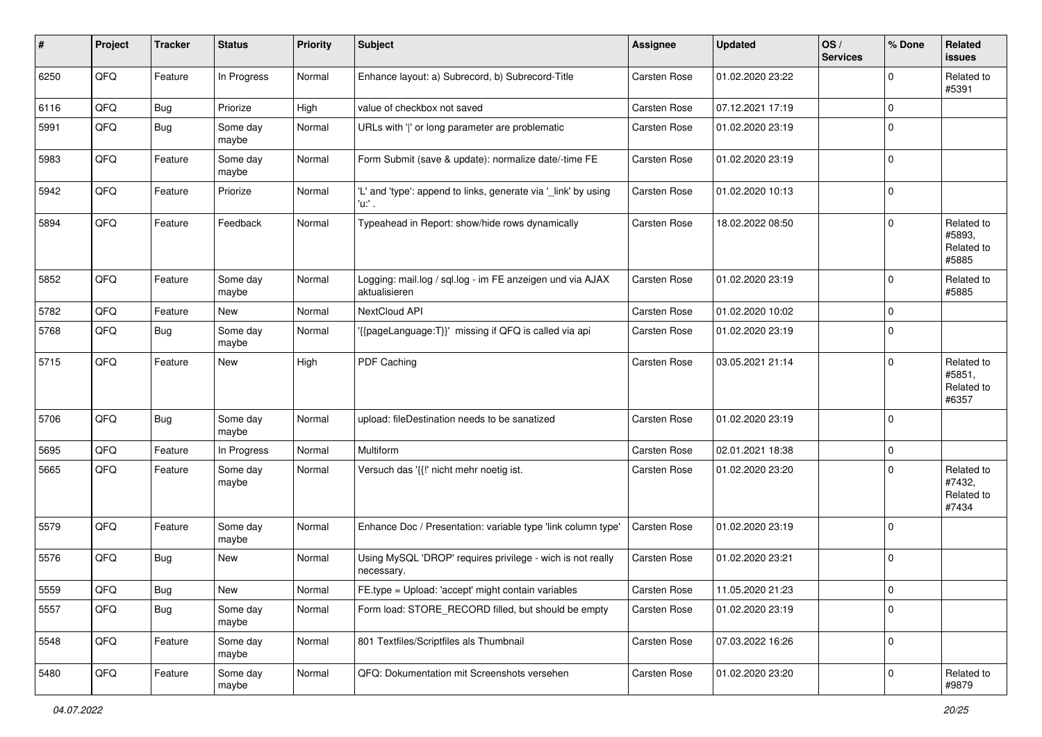| #    | Project | <b>Tracker</b> | <b>Status</b>     | <b>Priority</b> | <b>Subject</b>                                                             | Assignee     | <b>Updated</b>   | OS/<br><b>Services</b> | % Done      | Related<br><b>issues</b>                    |
|------|---------|----------------|-------------------|-----------------|----------------------------------------------------------------------------|--------------|------------------|------------------------|-------------|---------------------------------------------|
| 6250 | QFQ     | Feature        | In Progress       | Normal          | Enhance layout: a) Subrecord, b) Subrecord-Title                           | Carsten Rose | 01.02.2020 23:22 |                        | $\mathbf 0$ | Related to<br>#5391                         |
| 6116 | QFQ     | Bug            | Priorize          | High            | value of checkbox not saved                                                | Carsten Rose | 07.12.2021 17:19 |                        | $\mathbf 0$ |                                             |
| 5991 | QFQ     | Bug            | Some day<br>maybe | Normal          | URLs with ' ' or long parameter are problematic                            | Carsten Rose | 01.02.2020 23:19 |                        | $\mathbf 0$ |                                             |
| 5983 | QFQ     | Feature        | Some day<br>maybe | Normal          | Form Submit (save & update): normalize date/-time FE                       | Carsten Rose | 01.02.2020 23:19 |                        | $\mathbf 0$ |                                             |
| 5942 | QFQ     | Feature        | Priorize          | Normal          | 'L' and 'type': append to links, generate via '_link' by using<br>'u:' .   | Carsten Rose | 01.02.2020 10:13 |                        | $\mathbf 0$ |                                             |
| 5894 | QFQ     | Feature        | Feedback          | Normal          | Typeahead in Report: show/hide rows dynamically                            | Carsten Rose | 18.02.2022 08:50 |                        | $\Omega$    | Related to<br>#5893,<br>Related to<br>#5885 |
| 5852 | QFQ     | Feature        | Some day<br>maybe | Normal          | Logging: mail.log / sql.log - im FE anzeigen und via AJAX<br>aktualisieren | Carsten Rose | 01.02.2020 23:19 |                        | $\mathbf 0$ | Related to<br>#5885                         |
| 5782 | QFQ     | Feature        | New               | Normal          | NextCloud API                                                              | Carsten Rose | 01.02.2020 10:02 |                        | $\mathbf 0$ |                                             |
| 5768 | QFQ     | Bug            | Some day<br>maybe | Normal          | {{pageLanguage:T}}' missing if QFQ is called via api                       | Carsten Rose | 01.02.2020 23:19 |                        | $\mathbf 0$ |                                             |
| 5715 | QFQ     | Feature        | New               | High            | PDF Caching                                                                | Carsten Rose | 03.05.2021 21:14 |                        | $\mathbf 0$ | Related to<br>#5851,<br>Related to<br>#6357 |
| 5706 | QFQ     | Bug            | Some day<br>maybe | Normal          | upload: fileDestination needs to be sanatized                              | Carsten Rose | 01.02.2020 23:19 |                        | $\mathbf 0$ |                                             |
| 5695 | QFQ     | Feature        | In Progress       | Normal          | Multiform                                                                  | Carsten Rose | 02.01.2021 18:38 |                        | $\mathbf 0$ |                                             |
| 5665 | QFQ     | Feature        | Some day<br>maybe | Normal          | Versuch das '{{!' nicht mehr noetig ist.                                   | Carsten Rose | 01.02.2020 23:20 |                        | $\mathbf 0$ | Related to<br>#7432,<br>Related to<br>#7434 |
| 5579 | QFQ     | Feature        | Some day<br>maybe | Normal          | Enhance Doc / Presentation: variable type 'link column type'               | Carsten Rose | 01.02.2020 23:19 |                        | $\mathbf 0$ |                                             |
| 5576 | QFQ     | Bug            | New               | Normal          | Using MySQL 'DROP' requires privilege - wich is not really<br>necessary.   | Carsten Rose | 01.02.2020 23:21 |                        | $\mathbf 0$ |                                             |
| 5559 | QFQ     | <b>Bug</b>     | New               | Normal          | FE.type = Upload: 'accept' might contain variables                         | Carsten Rose | 11.05.2020 21:23 |                        | $\pmb{0}$   |                                             |
| 5557 | QFQ     | Bug            | Some day<br>maybe | Normal          | Form load: STORE_RECORD filled, but should be empty                        | Carsten Rose | 01.02.2020 23:19 |                        | $\mathbf 0$ |                                             |
| 5548 | QFQ     | Feature        | Some day<br>maybe | Normal          | 801 Textfiles/Scriptfiles als Thumbnail                                    | Carsten Rose | 07.03.2022 16:26 |                        | $\mathbf 0$ |                                             |
| 5480 | QFQ     | Feature        | Some day<br>maybe | Normal          | QFQ: Dokumentation mit Screenshots versehen                                | Carsten Rose | 01.02.2020 23:20 |                        | $\mathbf 0$ | Related to<br>#9879                         |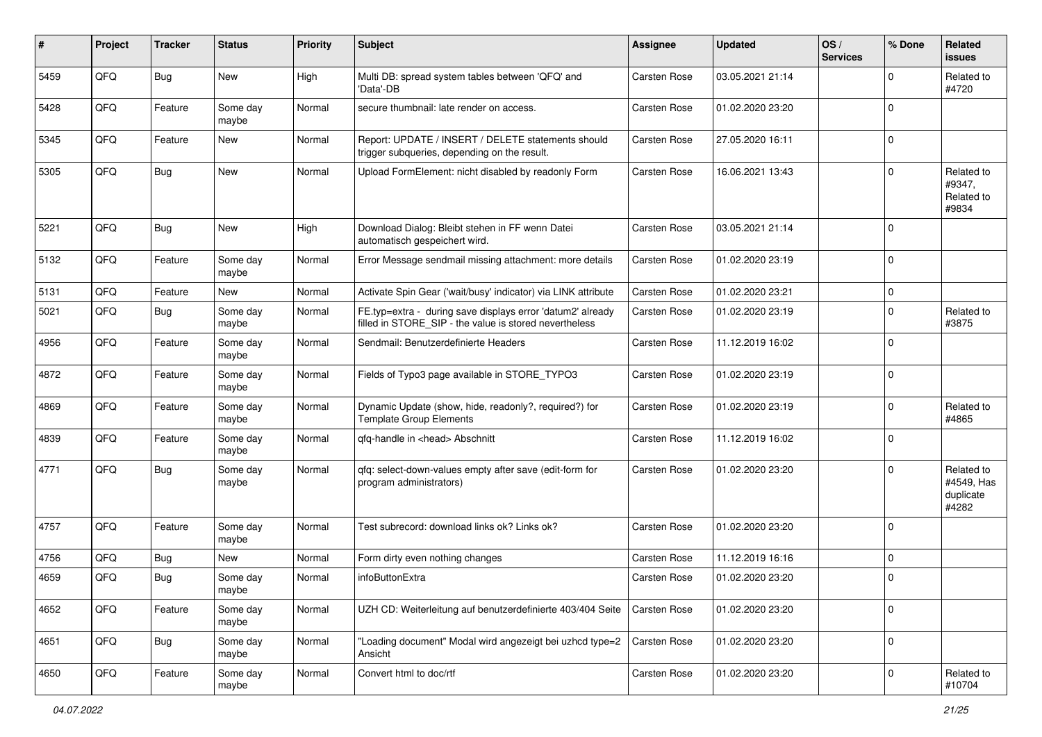| #    | Project | <b>Tracker</b> | <b>Status</b>     | <b>Priority</b> | <b>Subject</b>                                                                                                       | <b>Assignee</b>     | <b>Updated</b>   | OS/<br><b>Services</b> | % Done      | Related<br><b>issues</b>                       |
|------|---------|----------------|-------------------|-----------------|----------------------------------------------------------------------------------------------------------------------|---------------------|------------------|------------------------|-------------|------------------------------------------------|
| 5459 | QFQ     | <b>Bug</b>     | New               | High            | Multi DB: spread system tables between 'QFQ' and<br>'Data'-DB                                                        | <b>Carsten Rose</b> | 03.05.2021 21:14 |                        | $\Omega$    | Related to<br>#4720                            |
| 5428 | QFQ     | Feature        | Some day<br>maybe | Normal          | secure thumbnail: late render on access.                                                                             | <b>Carsten Rose</b> | 01.02.2020 23:20 |                        | $\mathbf 0$ |                                                |
| 5345 | QFQ     | Feature        | <b>New</b>        | Normal          | Report: UPDATE / INSERT / DELETE statements should<br>trigger subqueries, depending on the result.                   | <b>Carsten Rose</b> | 27.05.2020 16:11 |                        | $\Omega$    |                                                |
| 5305 | QFQ     | Bug            | New               | Normal          | Upload FormElement: nicht disabled by readonly Form                                                                  | <b>Carsten Rose</b> | 16.06.2021 13:43 |                        | $\Omega$    | Related to<br>#9347,<br>Related to<br>#9834    |
| 5221 | QFQ     | <b>Bug</b>     | New               | High            | Download Dialog: Bleibt stehen in FF wenn Datei<br>automatisch gespeichert wird.                                     | <b>Carsten Rose</b> | 03.05.2021 21:14 |                        | $\Omega$    |                                                |
| 5132 | QFQ     | Feature        | Some day<br>maybe | Normal          | Error Message sendmail missing attachment: more details                                                              | <b>Carsten Rose</b> | 01.02.2020 23:19 |                        | $\Omega$    |                                                |
| 5131 | QFQ     | Feature        | New               | Normal          | Activate Spin Gear ('wait/busy' indicator) via LINK attribute                                                        | <b>Carsten Rose</b> | 01.02.2020 23:21 |                        | $\mathbf 0$ |                                                |
| 5021 | QFQ     | Bug            | Some day<br>maybe | Normal          | FE.typ=extra - during save displays error 'datum2' already<br>filled in STORE SIP - the value is stored nevertheless | <b>Carsten Rose</b> | 01.02.2020 23:19 |                        | $\Omega$    | Related to<br>#3875                            |
| 4956 | QFQ     | Feature        | Some day<br>maybe | Normal          | Sendmail: Benutzerdefinierte Headers                                                                                 | <b>Carsten Rose</b> | 11.12.2019 16:02 |                        | $\Omega$    |                                                |
| 4872 | QFQ     | Feature        | Some day<br>maybe | Normal          | Fields of Typo3 page available in STORE_TYPO3                                                                        | <b>Carsten Rose</b> | 01.02.2020 23:19 |                        | 0           |                                                |
| 4869 | QFQ     | Feature        | Some day<br>maybe | Normal          | Dynamic Update (show, hide, readonly?, required?) for<br><b>Template Group Elements</b>                              | <b>Carsten Rose</b> | 01.02.2020 23:19 |                        | $\Omega$    | Related to<br>#4865                            |
| 4839 | QFQ     | Feature        | Some day<br>maybe | Normal          | qfq-handle in <head> Abschnitt</head>                                                                                | <b>Carsten Rose</b> | 11.12.2019 16:02 |                        | $\Omega$    |                                                |
| 4771 | QFQ     | <b>Bug</b>     | Some day<br>maybe | Normal          | gfg: select-down-values empty after save (edit-form for<br>program administrators)                                   | <b>Carsten Rose</b> | 01.02.2020 23:20 |                        | $\Omega$    | Related to<br>#4549, Has<br>duplicate<br>#4282 |
| 4757 | QFQ     | Feature        | Some day<br>maybe | Normal          | Test subrecord: download links ok? Links ok?                                                                         | <b>Carsten Rose</b> | 01.02.2020 23:20 |                        | $\Omega$    |                                                |
| 4756 | QFQ     | Bug            | New               | Normal          | Form dirty even nothing changes                                                                                      | <b>Carsten Rose</b> | 11.12.2019 16:16 |                        | $\mathbf 0$ |                                                |
| 4659 | QFQ     | <b>Bug</b>     | Some day<br>maybe | Normal          | infoButtonExtra                                                                                                      | <b>Carsten Rose</b> | 01.02.2020 23:20 |                        | $\Omega$    |                                                |
| 4652 | QFQ     | Feature        | Some day<br>maybe | Normal          | UZH CD: Weiterleitung auf benutzerdefinierte 403/404 Seite                                                           | Carsten Rose        | 01.02.2020 23:20 |                        | 0           |                                                |
| 4651 | QFQ     | <b>Bug</b>     | Some day<br>maybe | Normal          | 'Loading document" Modal wird angezeigt bei uzhcd type=2<br>Ansicht                                                  | <b>Carsten Rose</b> | 01.02.2020 23:20 |                        | 0           |                                                |
| 4650 | QFG     | Feature        | Some day<br>maybe | Normal          | Convert html to doc/rtf                                                                                              | Carsten Rose        | 01.02.2020 23:20 |                        | $\mathbf 0$ | Related to<br>#10704                           |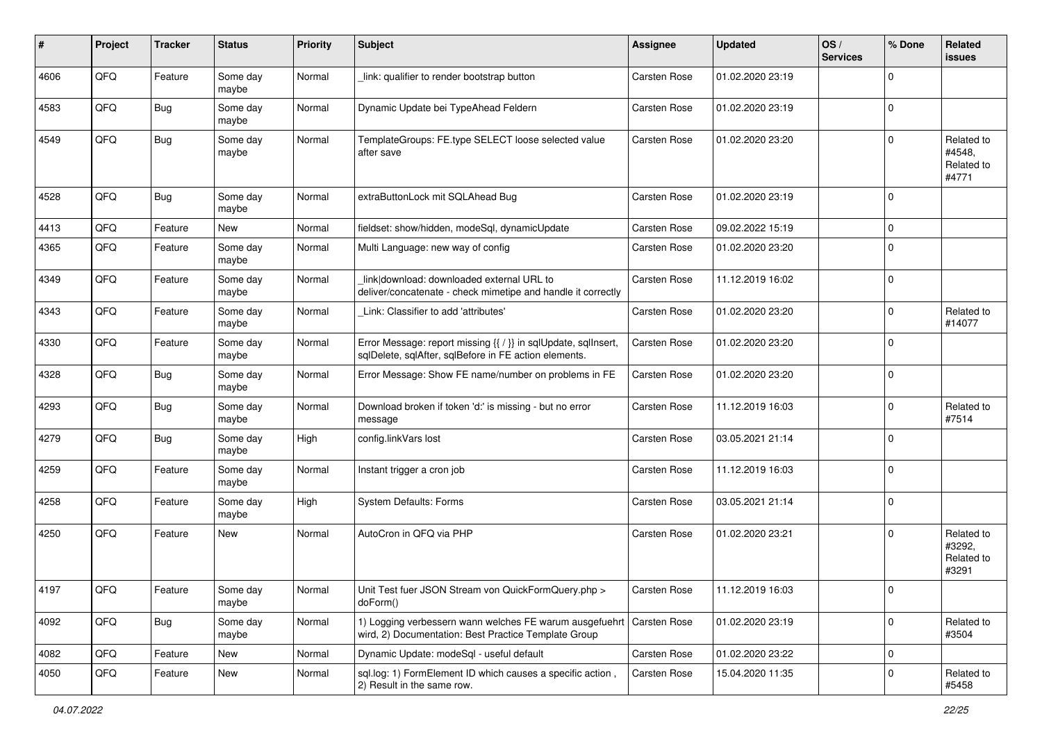| #    | Project | <b>Tracker</b> | <b>Status</b>     | <b>Priority</b> | <b>Subject</b>                                                                                                          | Assignee            | <b>Updated</b>   | OS/<br><b>Services</b> | % Done      | Related<br><b>issues</b>                    |
|------|---------|----------------|-------------------|-----------------|-------------------------------------------------------------------------------------------------------------------------|---------------------|------------------|------------------------|-------------|---------------------------------------------|
| 4606 | QFQ     | Feature        | Some day<br>maybe | Normal          | link: qualifier to render bootstrap button                                                                              | Carsten Rose        | 01.02.2020 23:19 |                        | $\Omega$    |                                             |
| 4583 | QFQ     | <b>Bug</b>     | Some day<br>maybe | Normal          | Dynamic Update bei TypeAhead Feldern                                                                                    | Carsten Rose        | 01.02.2020 23:19 |                        | $\mathbf 0$ |                                             |
| 4549 | QFQ     | Bug            | Some day<br>maybe | Normal          | TemplateGroups: FE.type SELECT loose selected value<br>after save                                                       | <b>Carsten Rose</b> | 01.02.2020 23:20 |                        | $\Omega$    | Related to<br>#4548,<br>Related to<br>#4771 |
| 4528 | QFQ     | Bug            | Some day<br>maybe | Normal          | extraButtonLock mit SQLAhead Bug                                                                                        | Carsten Rose        | 01.02.2020 23:19 |                        | $\Omega$    |                                             |
| 4413 | QFQ     | Feature        | New               | Normal          | fieldset: show/hidden, modeSql, dynamicUpdate                                                                           | Carsten Rose        | 09.02.2022 15:19 |                        | $\Omega$    |                                             |
| 4365 | QFQ     | Feature        | Some day<br>maybe | Normal          | Multi Language: new way of config                                                                                       | <b>Carsten Rose</b> | 01.02.2020 23:20 |                        | $\Omega$    |                                             |
| 4349 | QFQ     | Feature        | Some day<br>maybe | Normal          | link download: downloaded external URL to<br>deliver/concatenate - check mimetipe and handle it correctly               | Carsten Rose        | 11.12.2019 16:02 |                        | $\Omega$    |                                             |
| 4343 | QFQ     | Feature        | Some day<br>maybe | Normal          | Link: Classifier to add 'attributes'                                                                                    | <b>Carsten Rose</b> | 01.02.2020 23:20 |                        | $\Omega$    | Related to<br>#14077                        |
| 4330 | QFQ     | Feature        | Some day<br>maybe | Normal          | Error Message: report missing {{ / }} in sqlUpdate, sqlInsert,<br>sqlDelete, sqlAfter, sqlBefore in FE action elements. | <b>Carsten Rose</b> | 01.02.2020 23:20 |                        | $\Omega$    |                                             |
| 4328 | QFQ     | Bug            | Some day<br>maybe | Normal          | Error Message: Show FE name/number on problems in FE                                                                    | <b>Carsten Rose</b> | 01.02.2020 23:20 |                        | $\mathbf 0$ |                                             |
| 4293 | QFQ     | Bug            | Some day<br>maybe | Normal          | Download broken if token 'd:' is missing - but no error<br>message                                                      | Carsten Rose        | 11.12.2019 16:03 |                        | $\Omega$    | Related to<br>#7514                         |
| 4279 | QFQ     | Bug            | Some day<br>maybe | High            | config.linkVars lost                                                                                                    | <b>Carsten Rose</b> | 03.05.2021 21:14 |                        | $\Omega$    |                                             |
| 4259 | QFQ     | Feature        | Some day<br>maybe | Normal          | Instant trigger a cron job                                                                                              | Carsten Rose        | 11.12.2019 16:03 |                        | $\Omega$    |                                             |
| 4258 | QFQ     | Feature        | Some day<br>maybe | High            | System Defaults: Forms                                                                                                  | Carsten Rose        | 03.05.2021 21:14 |                        | $\Omega$    |                                             |
| 4250 | QFQ     | Feature        | New               | Normal          | AutoCron in QFQ via PHP                                                                                                 | <b>Carsten Rose</b> | 01.02.2020 23:21 |                        | $\Omega$    | Related to<br>#3292,<br>Related to<br>#3291 |
| 4197 | QFQ     | Feature        | Some day<br>maybe | Normal          | Unit Test fuer JSON Stream von QuickFormQuery.php ><br>doForm()                                                         | Carsten Rose        | 11.12.2019 16:03 |                        |             |                                             |
| 4092 | QFQ     | <b>Bug</b>     | Some day<br>maybe | Normal          | 1) Logging verbessern wann welches FE warum ausgefuehrt<br>wird, 2) Documentation: Best Practice Template Group         | Carsten Rose        | 01.02.2020 23:19 |                        | $\mathbf 0$ | Related to<br>#3504                         |
| 4082 | QFQ     | Feature        | New               | Normal          | Dynamic Update: modeSgl - useful default                                                                                | Carsten Rose        | 01.02.2020 23:22 |                        | $\mathbf 0$ |                                             |
| 4050 | QFQ     | Feature        | New               | Normal          | sql.log: 1) FormElement ID which causes a specific action,<br>2) Result in the same row.                                | Carsten Rose        | 15.04.2020 11:35 |                        | $\mathbf 0$ | Related to<br>#5458                         |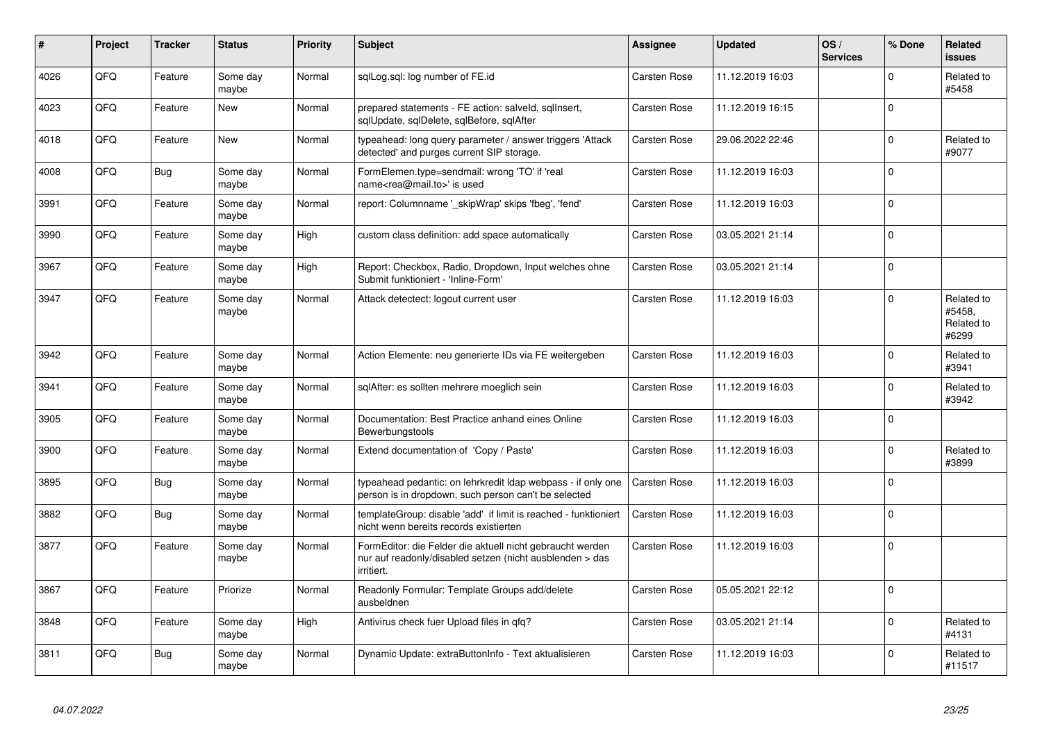| #    | Project | <b>Tracker</b> | <b>Status</b>     | <b>Priority</b> | <b>Subject</b>                                                                                                                      | Assignee            | <b>Updated</b>   | OS/<br><b>Services</b> | % Done      | Related<br><b>issues</b>                    |
|------|---------|----------------|-------------------|-----------------|-------------------------------------------------------------------------------------------------------------------------------------|---------------------|------------------|------------------------|-------------|---------------------------------------------|
| 4026 | QFQ     | Feature        | Some day<br>maybe | Normal          | sqlLog.sql: log number of FE.id                                                                                                     | <b>Carsten Rose</b> | 11.12.2019 16:03 |                        | $\Omega$    | Related to<br>#5458                         |
| 4023 | QFQ     | Feature        | <b>New</b>        | Normal          | prepared statements - FE action: salveld, sqllnsert,<br>sglUpdate, sglDelete, sglBefore, sglAfter                                   | <b>Carsten Rose</b> | 11.12.2019 16:15 |                        | $\Omega$    |                                             |
| 4018 | QFQ     | Feature        | <b>New</b>        | Normal          | typeahead: long query parameter / answer triggers 'Attack<br>detected' and purges current SIP storage.                              | <b>Carsten Rose</b> | 29.06.2022 22:46 |                        | $\Omega$    | Related to<br>#9077                         |
| 4008 | QFQ     | Bug            | Some day<br>maybe | Normal          | FormElemen.type=sendmail: wrong 'TO' if 'real<br>name <rea@mail.to>' is used</rea@mail.to>                                          | <b>Carsten Rose</b> | 11.12.2019 16:03 |                        | $\Omega$    |                                             |
| 3991 | QFQ     | Feature        | Some day<br>maybe | Normal          | report: Columnname ' skipWrap' skips 'fbeg', 'fend'                                                                                 | <b>Carsten Rose</b> | 11.12.2019 16:03 |                        | $\Omega$    |                                             |
| 3990 | QFQ     | Feature        | Some day<br>maybe | High            | custom class definition: add space automatically                                                                                    | <b>Carsten Rose</b> | 03.05.2021 21:14 |                        | $\Omega$    |                                             |
| 3967 | QFQ     | Feature        | Some day<br>maybe | High            | Report: Checkbox, Radio, Dropdown, Input welches ohne<br>Submit funktioniert - 'Inline-Form'                                        | <b>Carsten Rose</b> | 03.05.2021 21:14 |                        | $\Omega$    |                                             |
| 3947 | QFQ     | Feature        | Some day<br>maybe | Normal          | Attack detectect: logout current user                                                                                               | <b>Carsten Rose</b> | 11.12.2019 16:03 |                        | $\Omega$    | Related to<br>#5458.<br>Related to<br>#6299 |
| 3942 | QFQ     | Feature        | Some day<br>maybe | Normal          | Action Elemente: neu generierte IDs via FE weitergeben                                                                              | <b>Carsten Rose</b> | 11.12.2019 16:03 |                        | $\Omega$    | Related to<br>#3941                         |
| 3941 | QFQ     | Feature        | Some day<br>maybe | Normal          | sqlAfter: es sollten mehrere moeglich sein                                                                                          | <b>Carsten Rose</b> | 11.12.2019 16:03 |                        | $\Omega$    | Related to<br>#3942                         |
| 3905 | QFQ     | Feature        | Some day<br>maybe | Normal          | Documentation: Best Practice anhand eines Online<br>Bewerbungstools                                                                 | <b>Carsten Rose</b> | 11.12.2019 16:03 |                        | $\Omega$    |                                             |
| 3900 | QFQ     | Feature        | Some day<br>maybe | Normal          | Extend documentation of 'Copy / Paste'                                                                                              | <b>Carsten Rose</b> | 11.12.2019 16:03 |                        | $\Omega$    | Related to<br>#3899                         |
| 3895 | QFQ     | <b>Bug</b>     | Some day<br>maybe | Normal          | typeahead pedantic: on lehrkredit Idap webpass - if only one<br>person is in dropdown, such person can't be selected                | <b>Carsten Rose</b> | 11.12.2019 16:03 |                        | $\Omega$    |                                             |
| 3882 | QFQ     | <b>Bug</b>     | Some day<br>maybe | Normal          | templateGroup: disable 'add' if limit is reached - funktioniert<br>nicht wenn bereits records existierten                           | Carsten Rose        | 11.12.2019 16:03 |                        | $\Omega$    |                                             |
| 3877 | QFQ     | Feature        | Some day<br>maybe | Normal          | FormEditor: die Felder die aktuell nicht gebraucht werden<br>nur auf readonly/disabled setzen (nicht ausblenden > das<br>irritiert. | <b>Carsten Rose</b> | 11.12.2019 16:03 |                        | $\Omega$    |                                             |
| 3867 | QFQ     | Feature        | Priorize          | Normal          | Readonly Formular: Template Groups add/delete<br>ausbeldnen                                                                         | <b>Carsten Rose</b> | 05.05.2021 22:12 |                        | $\Omega$    |                                             |
| 3848 | QFQ     | Feature        | Some day<br>maybe | High            | Antivirus check fuer Upload files in qfq?                                                                                           | Carsten Rose        | 03.05.2021 21:14 |                        | $\mathbf 0$ | Related to<br>#4131                         |
| 3811 | QFQ     | Bug            | Some day<br>maybe | Normal          | Dynamic Update: extraButtonInfo - Text aktualisieren                                                                                | <b>Carsten Rose</b> | 11.12.2019 16:03 |                        | U           | Related to<br>#11517                        |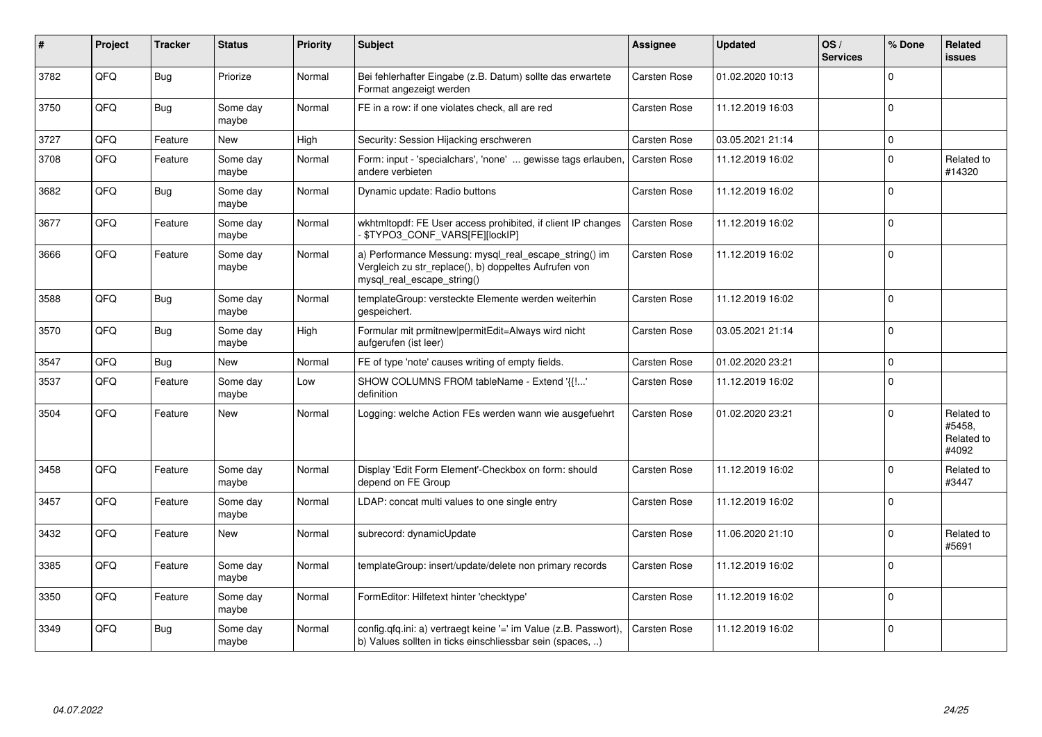| #    | Project | <b>Tracker</b> | <b>Status</b>     | <b>Priority</b> | <b>Subject</b>                                                                                                                               | <b>Assignee</b>     | <b>Updated</b>   | OS/<br><b>Services</b> | % Done         | Related<br><b>issues</b>                    |
|------|---------|----------------|-------------------|-----------------|----------------------------------------------------------------------------------------------------------------------------------------------|---------------------|------------------|------------------------|----------------|---------------------------------------------|
| 3782 | QFQ     | Bug            | Priorize          | Normal          | Bei fehlerhafter Eingabe (z.B. Datum) sollte das erwartete<br>Format angezeigt werden                                                        | <b>Carsten Rose</b> | 01.02.2020 10:13 |                        | $\Omega$       |                                             |
| 3750 | QFQ     | Bug            | Some day<br>maybe | Normal          | FE in a row: if one violates check, all are red                                                                                              | Carsten Rose        | 11.12.2019 16:03 |                        | $\Omega$       |                                             |
| 3727 | QFQ     | Feature        | New               | High            | Security: Session Hijacking erschweren                                                                                                       | Carsten Rose        | 03.05.2021 21:14 |                        | $\Omega$       |                                             |
| 3708 | QFQ     | Feature        | Some day<br>maybe | Normal          | Form: input - 'specialchars', 'none'  gewisse tags erlauben<br>andere verbieten                                                              | <b>Carsten Rose</b> | 11.12.2019 16:02 |                        | $\Omega$       | Related to<br>#14320                        |
| 3682 | QFQ     | <b>Bug</b>     | Some day<br>maybe | Normal          | Dynamic update: Radio buttons                                                                                                                | Carsten Rose        | 11.12.2019 16:02 |                        | $\Omega$       |                                             |
| 3677 | QFQ     | Feature        | Some day<br>maybe | Normal          | wkhtmitopdf: FE User access prohibited, if client IP changes<br>\$TYPO3_CONF_VARS[FE][lockIP]                                                | <b>Carsten Rose</b> | 11.12.2019 16:02 |                        | $\Omega$       |                                             |
| 3666 | QFQ     | Feature        | Some day<br>maybe | Normal          | a) Performance Messung: mysql_real_escape_string() im<br>Vergleich zu str_replace(), b) doppeltes Aufrufen von<br>mysql real escape string() | Carsten Rose        | 11.12.2019 16:02 |                        | $\Omega$       |                                             |
| 3588 | QFQ     | Bug            | Some day<br>maybe | Normal          | templateGroup: versteckte Elemente werden weiterhin<br>gespeichert.                                                                          | <b>Carsten Rose</b> | 11.12.2019 16:02 |                        | $\Omega$       |                                             |
| 3570 | QFQ     | Bug            | Some day<br>maybe | High            | Formular mit prmitnew permitEdit=Always wird nicht<br>aufgerufen (ist leer)                                                                  | Carsten Rose        | 03.05.2021 21:14 |                        | $\overline{0}$ |                                             |
| 3547 | QFQ     | Bug            | <b>New</b>        | Normal          | FE of type 'note' causes writing of empty fields.                                                                                            | Carsten Rose        | 01.02.2020 23:21 |                        | $\Omega$       |                                             |
| 3537 | QFQ     | Feature        | Some day<br>maybe | Low             | SHOW COLUMNS FROM tableName - Extend '{{!'<br>definition                                                                                     | <b>Carsten Rose</b> | 11.12.2019 16:02 |                        | $\Omega$       |                                             |
| 3504 | QFQ     | Feature        | <b>New</b>        | Normal          | Logging: welche Action FEs werden wann wie ausgefuehrt                                                                                       | Carsten Rose        | 01.02.2020 23:21 |                        | $\Omega$       | Related to<br>#5458,<br>Related to<br>#4092 |
| 3458 | QFQ     | Feature        | Some day<br>maybe | Normal          | Display 'Edit Form Element'-Checkbox on form: should<br>depend on FE Group                                                                   | Carsten Rose        | 11.12.2019 16:02 |                        | $\Omega$       | Related to<br>#3447                         |
| 3457 | QFQ     | Feature        | Some day<br>maybe | Normal          | LDAP: concat multi values to one single entry                                                                                                | <b>Carsten Rose</b> | 11.12.2019 16:02 |                        | $\Omega$       |                                             |
| 3432 | QFQ     | Feature        | <b>New</b>        | Normal          | subrecord: dynamicUpdate                                                                                                                     | Carsten Rose        | 11.06.2020 21:10 |                        | $\Omega$       | Related to<br>#5691                         |
| 3385 | QFQ     | Feature        | Some day<br>maybe | Normal          | templateGroup: insert/update/delete non primary records                                                                                      | <b>Carsten Rose</b> | 11.12.2019 16:02 |                        | $\Omega$       |                                             |
| 3350 | QFQ     | Feature        | Some day<br>maybe | Normal          | FormEditor: Hilfetext hinter 'checktype'                                                                                                     | <b>Carsten Rose</b> | 11.12.2019 16:02 |                        | $\Omega$       |                                             |
| 3349 | QFQ     | Bug            | Some day<br>maybe | Normal          | config.qfq.ini: a) vertraegt keine '=' im Value (z.B. Passwort),<br>b) Values sollten in ticks einschliessbar sein (spaces, )                | Carsten Rose        | 11.12.2019 16:02 |                        | $\Omega$       |                                             |